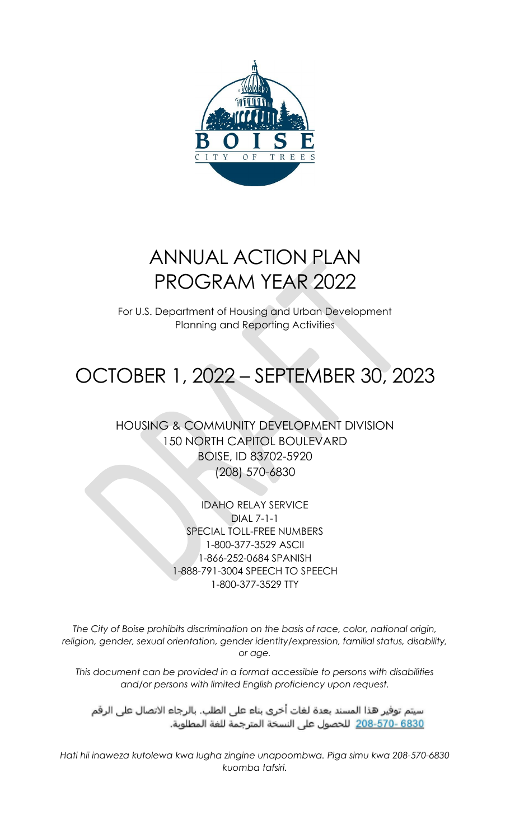

# ANNUAL ACTION PLAN PROGRAM YEAR 2022

For U.S. Department of Housing and Urban Development Planning and Reporting Activities

# OCTOBER 1, 2022 – SEPTEMBER 30, 2023

HOUSING & COMMUNITY DEVELOPMENT DIVISION 150 NORTH CAPITOL BOULEVARD BOISE, ID 83702-5920 (208) 570-6830

> IDAHO RELAY SERVICE DIAL 7-1-1 SPECIAL TOLL-FREE NUMBERS 1-800-377-3529 ASCII 1-866-252-0684 SPANISH 1-888-791-3004 SPEECH TO SPEECH 1-800-377-3529 TTY

*The City of Boise prohibits discrimination on the basis of race, color, national origin, religion, gender, sexual orientation, gender identity/expression, familial status, disability, or age.*

*This document can be provided in a format accessible to persons with disabilities and/or persons with limited English proficiency upon request.*

سيتم توفير هذا المسند بعدة لغات أخرى بناء على الطلب. بالرجاء الاتصال على الرقم 6830 -570-208 للحصول على النسخة المترجمة للغة المطلوبة.

*Hati hii inaweza kutolewa kwa lugha zingine unapoombwa. Piga simu kwa 208-570-6830 kuomba tafsiri.*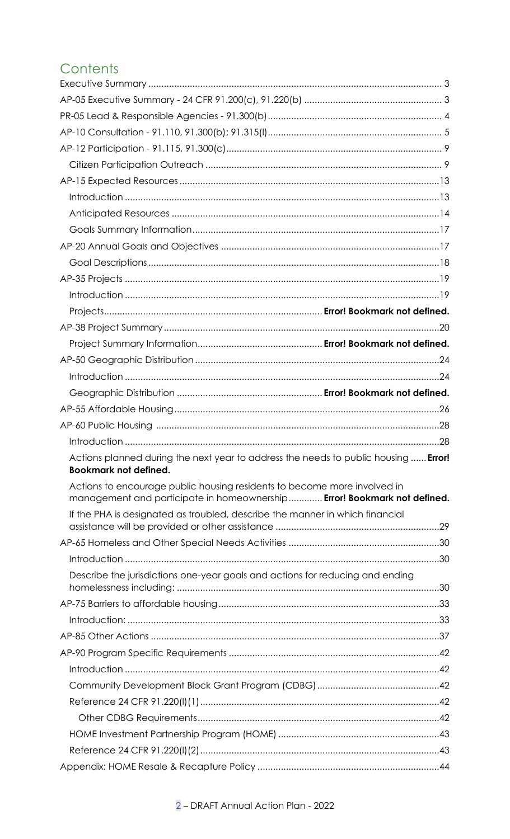# Contents

| Actions planned during the next year to address the needs to public housing <b>Error!</b><br><b>Bookmark not defined.</b>                            |  |
|------------------------------------------------------------------------------------------------------------------------------------------------------|--|
| Actions to encourage public housing residents to become more involved in<br>management and participate in homeownership Error! Bookmark not defined. |  |
| If the PHA is designated as troubled, describe the manner in which financial                                                                         |  |
|                                                                                                                                                      |  |
|                                                                                                                                                      |  |
|                                                                                                                                                      |  |
| Describe the jurisdictions one-year goals and actions for reducing and ending                                                                        |  |
|                                                                                                                                                      |  |
|                                                                                                                                                      |  |
|                                                                                                                                                      |  |
|                                                                                                                                                      |  |
|                                                                                                                                                      |  |
|                                                                                                                                                      |  |
|                                                                                                                                                      |  |
|                                                                                                                                                      |  |
|                                                                                                                                                      |  |
|                                                                                                                                                      |  |
|                                                                                                                                                      |  |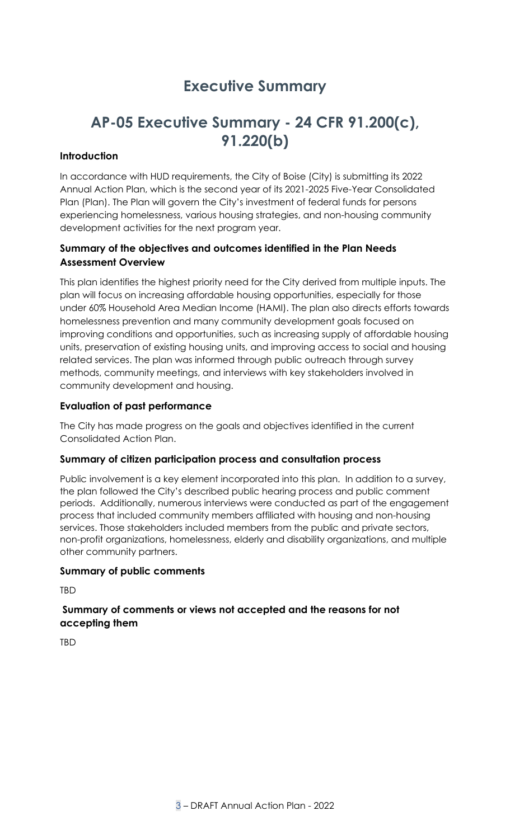# **Executive Summary**

# <span id="page-2-1"></span><span id="page-2-0"></span>**AP-05 Executive Summary - 24 CFR 91.200(c), 91.220(b)**

## **Introduction**

In accordance with HUD requirements, the City of Boise (City) is submitting its 2022 Annual Action Plan, which is the second year of its 2021-2025 Five-Year Consolidated Plan (Plan). The Plan will govern the City's investment of federal funds for persons experiencing homelessness, various housing strategies, and non-housing community development activities for the next program year.

# **Summary of the objectives and outcomes identified in the Plan Needs Assessment Overview**

This plan identifies the highest priority need for the City derived from multiple inputs. The plan will focus on increasing affordable housing opportunities, especially for those under 60% Household Area Median Income (HAMI). The plan also directs efforts towards homelessness prevention and many community development goals focused on improving conditions and opportunities, such as increasing supply of affordable housing units, preservation of existing housing units, and improving access to social and housing related services. The plan was informed through public outreach through survey methods, community meetings, and interviews with key stakeholders involved in community development and housing.

## **Evaluation of past performance**

The City has made progress on the goals and objectives identified in the current Consolidated Action Plan.

#### **Summary of citizen participation process and consultation process**

Public involvement is a key element incorporated into this plan. In addition to a survey, the plan followed the City's described public hearing process and public comment periods. Additionally, numerous interviews were conducted as part of the engagement process that included community members affiliated with housing and non-housing services. Those stakeholders included members from the public and private sectors, non-profit organizations, homelessness, elderly and disability organizations, and multiple other community partners.

#### **Summary of public comments**

**TBD** 

## **Summary of comments or views not accepted and the reasons for not accepting them**

**TRD**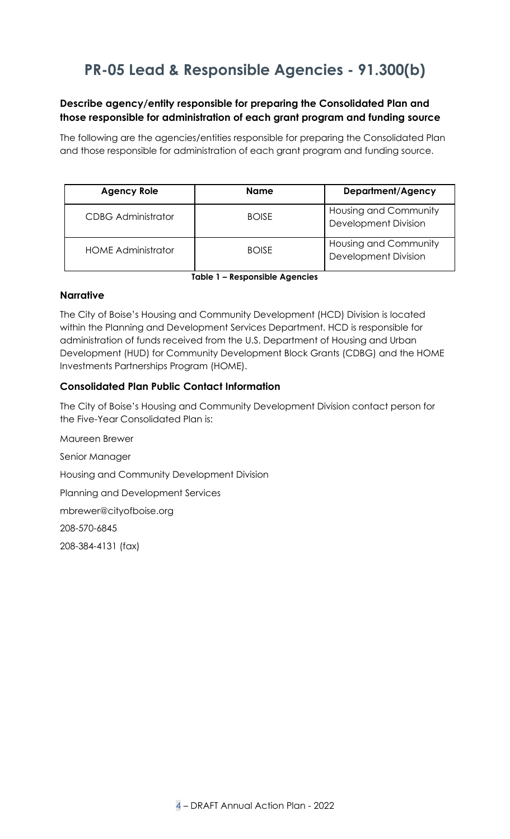# <span id="page-3-0"></span>**PR-05 Lead & Responsible Agencies - 91.300(b)**

# **Describe agency/entity responsible for preparing the Consolidated Plan and those responsible for administration of each grant program and funding source**

The following are the agencies/entities responsible for preparing the Consolidated Plan and those responsible for administration of each grant program and funding source.

| <b>Agency Role</b>        | <b>Name</b>  | <b>Department/Agency</b>                             |
|---------------------------|--------------|------------------------------------------------------|
| <b>CDBG Administrator</b> | <b>BOISE</b> | Housing and Community<br><b>Development Division</b> |
| <b>HOME Administrator</b> | <b>BOISE</b> | Housing and Community<br><b>Development Division</b> |

**Table 1 – Responsible Agencies**

## **Narrative**

The City of Boise's Housing and Community Development (HCD) Division is located within the Planning and Development Services Department. HCD is responsible for administration of funds received from the U.S. Department of Housing and Urban Development (HUD) for Community Development Block Grants (CDBG) and the HOME Investments Partnerships Program (HOME).

# **Consolidated Plan Public Contact Information**

The City of Boise's Housing and Community Development Division contact person for the Five-Year Consolidated Plan is:

Maureen Brewer Senior Manager Housing and Community Development Division Planning and Development Services [mbrewer@cityofboise.org](mailto:mbrewer@cityofboise.org) 208-570-6845 208-384-4131 (fax)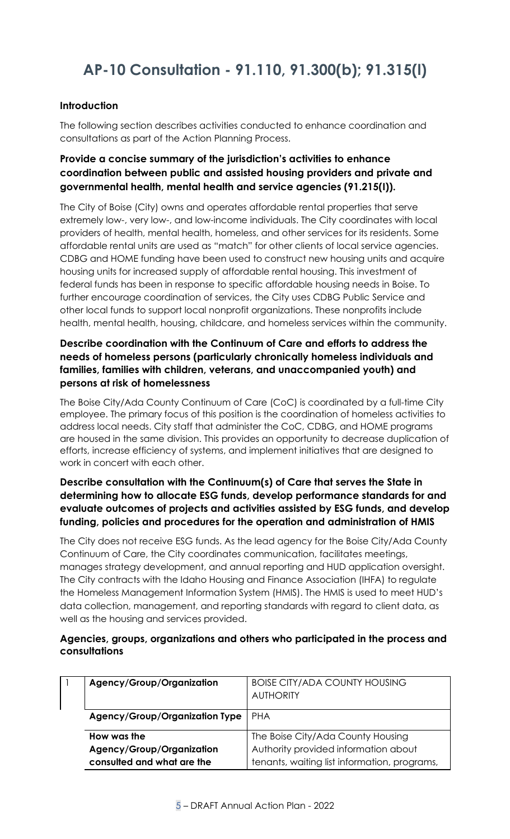# <span id="page-4-0"></span>**AP-10 Consultation - 91.110, 91.300(b); 91.315(l)**

# **Introduction**

The following section describes activities conducted to enhance coordination and consultations as part of the Action Planning Process.

# **Provide a concise summary of the jurisdiction's activities to enhance coordination between public and assisted housing providers and private and governmental health, mental health and service agencies (91.215(I)).**

The City of Boise (City) owns and operates affordable rental properties that serve extremely low-, very low-, and low-income individuals. The City coordinates with local providers of health, mental health, homeless, and other services for its residents. Some affordable rental units are used as "match" for other clients of local service agencies. CDBG and HOME funding have been used to construct new housing units and acquire housing units for increased supply of affordable rental housing. This investment of federal funds has been in response to specific affordable housing needs in Boise. To further encourage coordination of services, the City uses CDBG Public Service and other local funds to support local nonprofit organizations. These nonprofits include health, mental health, housing, childcare, and homeless services within the community.

# **Describe coordination with the Continuum of Care and efforts to address the needs of homeless persons (particularly chronically homeless individuals and families, families with children, veterans, and unaccompanied youth) and persons at risk of homelessness**

The Boise City/Ada County Continuum of Care (CoC) is coordinated by a full-time City employee. The primary focus of this position is the coordination of homeless activities to address local needs. City staff that administer the CoC, CDBG, and HOME programs are housed in the same division. This provides an opportunity to decrease duplication of efforts, increase efficiency of systems, and implement initiatives that are designed to work in concert with each other.

# **Describe consultation with the Continuum(s) of Care that serves the State in determining how to allocate ESG funds, develop performance standards for and evaluate outcomes of projects and activities assisted by ESG funds, and develop funding, policies and procedures for the operation and administration of HMIS**

The City does not receive ESG funds. As the lead agency for the Boise City/Ada County Continuum of Care, the City coordinates communication, facilitates meetings, manages strategy development, and annual reporting and HUD application oversight. The City contracts with the Idaho Housing and Finance Association (IHFA) to regulate the Homeless Management Information System (HMIS). The HMIS is used to meet HUD's data collection, management, and reporting standards with regard to client data, as well as the housing and services provided.

## **Agencies, groups, organizations and others who participated in the process and consultations**

| Agency/Group/Organization             | <b>BOISE CITY/ADA COUNTY HOUSING</b><br><b>AUTHORITY</b>                  |  |  |
|---------------------------------------|---------------------------------------------------------------------------|--|--|
| <b>Agency/Group/Organization Type</b> | <b>PHA</b>                                                                |  |  |
| How was the                           |                                                                           |  |  |
| Agency/Group/Organization             | The Boise City/Ada County Housing<br>Authority provided information about |  |  |
| consulted and what are the            | tenants, waiting list information, programs,                              |  |  |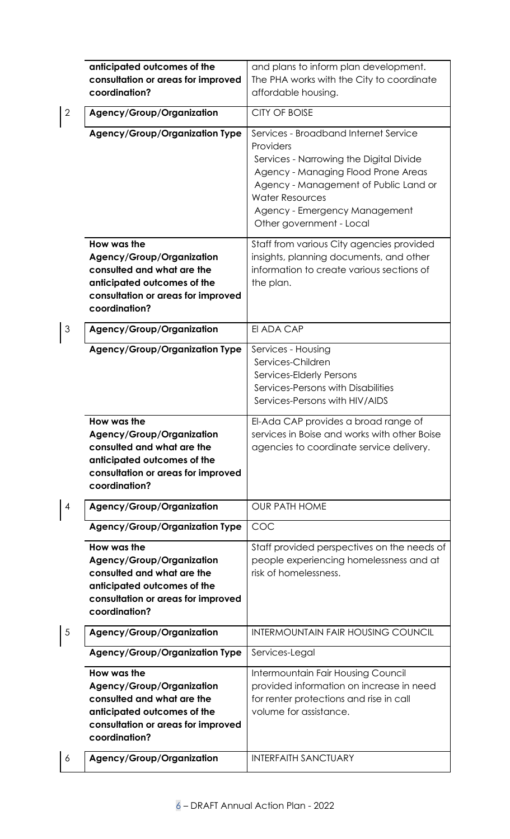|                | anticipated outcomes of the<br>consultation or areas for improved<br>coordination?                                                                                  | and plans to inform plan development.<br>The PHA works with the City to coordinate<br>affordable housing.                                                                                                                                                            |
|----------------|---------------------------------------------------------------------------------------------------------------------------------------------------------------------|----------------------------------------------------------------------------------------------------------------------------------------------------------------------------------------------------------------------------------------------------------------------|
| $\overline{2}$ | Agency/Group/Organization                                                                                                                                           | <b>CITY OF BOISE</b>                                                                                                                                                                                                                                                 |
|                | <b>Agency/Group/Organization Type</b>                                                                                                                               | Services - Broadband Internet Service<br>Providers<br>Services - Narrowing the Digital Divide<br>Agency - Managing Flood Prone Areas<br>Agency - Management of Public Land or<br><b>Water Resources</b><br>Agency - Emergency Management<br>Other government - Local |
|                | How was the<br>Agency/Group/Organization<br>consulted and what are the<br>anticipated outcomes of the<br>consultation or areas for improved<br>coordination?        | Staff from various City agencies provided<br>insights, planning documents, and other<br>information to create various sections of<br>the plan.                                                                                                                       |
| 3              | Agency/Group/Organization                                                                                                                                           | EI ADA CAP                                                                                                                                                                                                                                                           |
|                | <b>Agency/Group/Organization Type</b>                                                                                                                               | Services - Housing<br>Services-Children<br>Services-Elderly Persons<br>Services-Persons with Disabilities<br>Services-Persons with HIV/AIDS                                                                                                                          |
|                | How was the<br>Agency/Group/Organization<br>consulted and what are the<br>anticipated outcomes of the<br>consultation or areas for improved<br>coordination?        | El-Ada CAP provides a broad range of<br>services in Boise and works with other Boise<br>agencies to coordinate service delivery.                                                                                                                                     |
| 4              | Agency/Group/Organization                                                                                                                                           | <b>OUR PATH HOME</b>                                                                                                                                                                                                                                                 |
|                | <b>Agency/Group/Organization Type</b>                                                                                                                               | COC                                                                                                                                                                                                                                                                  |
|                | How was the<br><b>Agency/Group/Organization</b><br>consulted and what are the<br>anticipated outcomes of the<br>consultation or areas for improved<br>coordination? | Staff provided perspectives on the needs of<br>people experiencing homelessness and at<br>risk of homelessness.                                                                                                                                                      |
| 5              | Agency/Group/Organization                                                                                                                                           | <b>INTERMOUNTAIN FAIR HOUSING COUNCIL</b>                                                                                                                                                                                                                            |
|                | <b>Agency/Group/Organization Type</b>                                                                                                                               | Services-Legal                                                                                                                                                                                                                                                       |
|                | How was the<br>Agency/Group/Organization<br>consulted and what are the<br>anticipated outcomes of the<br>consultation or areas for improved<br>coordination?        | Intermountain Fair Housing Council<br>provided information on increase in need<br>for renter protections and rise in call<br>volume for assistance.                                                                                                                  |
| 6              | Agency/Group/Organization                                                                                                                                           | <b>INTERFAITH SANCTUARY</b>                                                                                                                                                                                                                                          |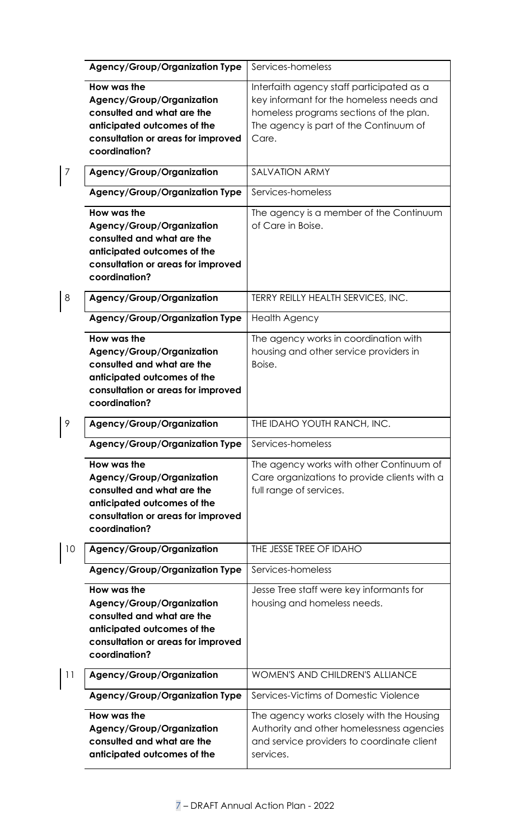|    | <b>Agency/Group/Organization Type</b>                                                                                                                        | Services-homeless                                                                                                                                                                   |
|----|--------------------------------------------------------------------------------------------------------------------------------------------------------------|-------------------------------------------------------------------------------------------------------------------------------------------------------------------------------------|
|    | How was the<br>Agency/Group/Organization<br>consulted and what are the<br>anticipated outcomes of the<br>consultation or areas for improved<br>coordination? | Interfaith agency staff participated as a<br>key informant for the homeless needs and<br>homeless programs sections of the plan.<br>The agency is part of the Continuum of<br>Care. |
| 7  | Agency/Group/Organization                                                                                                                                    | <b>SALVATION ARMY</b>                                                                                                                                                               |
|    | <b>Agency/Group/Organization Type</b>                                                                                                                        | Services-homeless                                                                                                                                                                   |
|    | How was the<br>Agency/Group/Organization<br>consulted and what are the<br>anticipated outcomes of the<br>consultation or areas for improved<br>coordination? | The agency is a member of the Continuum<br>of Care in Boise.                                                                                                                        |
| 8  | Agency/Group/Organization                                                                                                                                    | TERRY REILLY HEALTH SERVICES, INC.                                                                                                                                                  |
|    | <b>Agency/Group/Organization Type</b>                                                                                                                        | <b>Health Agency</b>                                                                                                                                                                |
|    | How was the<br>Agency/Group/Organization<br>consulted and what are the<br>anticipated outcomes of the<br>consultation or areas for improved<br>coordination? | The agency works in coordination with<br>housing and other service providers in<br>Boise.                                                                                           |
| 9  | Agency/Group/Organization                                                                                                                                    | THE IDAHO YOUTH RANCH, INC.                                                                                                                                                         |
|    | <b>Agency/Group/Organization Type</b>                                                                                                                        | Services-homeless                                                                                                                                                                   |
|    | How was the<br>Agency/Group/Organization<br>consulted and what are the<br>anticipated outcomes of the<br>consultation or areas for improved<br>coordination? | The agency works with other Continuum of<br>Care organizations to provide clients with a<br>full range of services.                                                                 |
| 10 | Agency/Group/Organization                                                                                                                                    | THE JESSE TREE OF IDAHO                                                                                                                                                             |
|    | <b>Agency/Group/Organization Type</b>                                                                                                                        | Services-homeless                                                                                                                                                                   |
|    | How was the<br>Agency/Group/Organization<br>consulted and what are the<br>anticipated outcomes of the<br>consultation or areas for improved<br>coordination? | Jesse Tree staff were key informants for<br>housing and homeless needs.                                                                                                             |
| 11 | Agency/Group/Organization                                                                                                                                    | <b>WOMEN'S AND CHILDREN'S ALLIANCE</b>                                                                                                                                              |
|    | <b>Agency/Group/Organization Type</b>                                                                                                                        | Services-Victims of Domestic Violence                                                                                                                                               |
|    | How was the<br>Agency/Group/Organization<br>consulted and what are the<br>anticipated outcomes of the                                                        | The agency works closely with the Housing<br>Authority and other homelessness agencies<br>and service providers to coordinate client<br>services.                                   |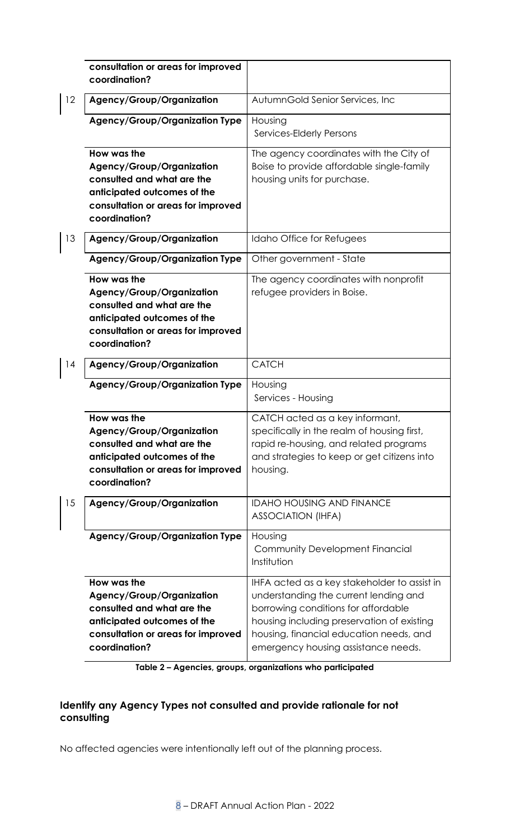|    | consultation or areas for improved<br>coordination?                                                                                                          |                                                                                                                                                                                                                                                              |
|----|--------------------------------------------------------------------------------------------------------------------------------------------------------------|--------------------------------------------------------------------------------------------------------------------------------------------------------------------------------------------------------------------------------------------------------------|
| 12 | Agency/Group/Organization                                                                                                                                    | AutumnGold Senior Services, Inc.                                                                                                                                                                                                                             |
|    | <b>Agency/Group/Organization Type</b>                                                                                                                        | Housing<br>Services-Elderly Persons                                                                                                                                                                                                                          |
|    | How was the<br>Agency/Group/Organization<br>consulted and what are the<br>anticipated outcomes of the<br>consultation or areas for improved<br>coordination? | The agency coordinates with the City of<br>Boise to provide affordable single-family<br>housing units for purchase.                                                                                                                                          |
| 13 | Agency/Group/Organization                                                                                                                                    | Idaho Office for Refugees                                                                                                                                                                                                                                    |
|    | <b>Agency/Group/Organization Type</b>                                                                                                                        | Other government - State                                                                                                                                                                                                                                     |
|    | How was the<br>Agency/Group/Organization<br>consulted and what are the<br>anticipated outcomes of the<br>consultation or areas for improved<br>coordination? | The agency coordinates with nonprofit<br>refugee providers in Boise.                                                                                                                                                                                         |
| 14 | Agency/Group/Organization                                                                                                                                    | <b>CATCH</b>                                                                                                                                                                                                                                                 |
|    | <b>Agency/Group/Organization Type</b>                                                                                                                        | Housing<br>Services - Housing                                                                                                                                                                                                                                |
|    | How was the<br>Agency/Group/Organization<br>consulted and what are the<br>anticipated outcomes of the<br>consultation or areas for improved<br>coordination? | CATCH acted as a key informant,<br>specifically in the realm of housing first,<br>rapid re-housing, and related programs<br>and strategies to keep or get citizens into<br>housing.                                                                          |
| 15 | Agency/Group/Organization                                                                                                                                    | <b>IDAHO HOUSING AND FINANCE</b><br><b>ASSOCIATION (IHFA)</b>                                                                                                                                                                                                |
|    | <b>Agency/Group/Organization Type</b>                                                                                                                        | Housing<br>Community Development Financial<br>Institution                                                                                                                                                                                                    |
|    | How was the<br>Agency/Group/Organization<br>consulted and what are the<br>anticipated outcomes of the<br>consultation or areas for improved<br>coordination? | IHFA acted as a key stakeholder to assist in<br>understanding the current lending and<br>borrowing conditions for affordable<br>housing including preservation of existing<br>housing, financial education needs, and<br>emergency housing assistance needs. |

**Table 2 – Agencies, groups, organizations who participated**

# **Identify any Agency Types not consulted and provide rationale for not consulting**

No affected agencies were intentionally left out of the planning process.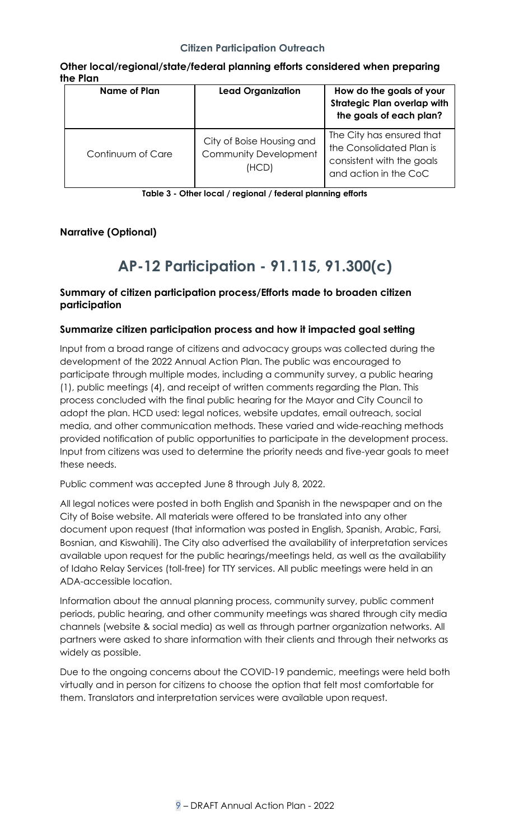### <span id="page-8-1"></span>**Citizen Participation Outreach**

| <b>Name of Plan</b> | <b>Lead Organization</b>                                    | How do the goals of your<br><b>Strategic Plan overlap with</b><br>the goals of each plan?                   |
|---------------------|-------------------------------------------------------------|-------------------------------------------------------------------------------------------------------------|
| Continuum of Care   | City of Boise Housing and<br>Community Development<br>(HCD) | The City has ensured that<br>the Consolidated Plan is<br>consistent with the goals<br>and action in the CoC |

### **Other local/regional/state/federal planning efforts considered when preparing the Plan**

**Table 3 - Other local / regional / federal planning efforts**

## **Narrative (Optional)**

# **AP-12 Participation - 91.115, 91.300(c)**

## <span id="page-8-0"></span>**Summary of citizen participation process/Efforts made to broaden citizen participation**

#### **Summarize citizen participation process and how it impacted goal setting**

Input from a broad range of citizens and advocacy groups was collected during the development of the 2022 Annual Action Plan. The public was encouraged to participate through multiple modes, including a community survey, a public hearing (1), public meetings (4), and receipt of written comments regarding the Plan. This process concluded with the final public hearing for the Mayor and City Council to adopt the plan. HCD used: legal notices, website updates, email outreach, social media, and other communication methods. These varied and wide-reaching methods provided notification of public opportunities to participate in the development process. Input from citizens was used to determine the priority needs and five-year goals to meet these needs.

Public comment was accepted June 8 through July 8, 2022.

All legal notices were posted in both English and Spanish in the newspaper and on the City of Boise website. All materials were offered to be translated into any other document upon request (that information was posted in English, Spanish, Arabic, Farsi, Bosnian, and Kiswahili). The City also advertised the availability of interpretation services available upon request for the public hearings/meetings held, as well as the availability of Idaho Relay Services (toll-free) for TTY services. All public meetings were held in an ADA-accessible location.

Information about the annual planning process, community survey, public comment periods, public hearing, and other community meetings was shared through city media channels (website & social media) as well as through partner organization networks. All partners were asked to share information with their clients and through their networks as widely as possible.

Due to the ongoing concerns about the COVID-19 pandemic, meetings were held both virtually and in person for citizens to choose the option that felt most comfortable for them. Translators and interpretation services were available upon request.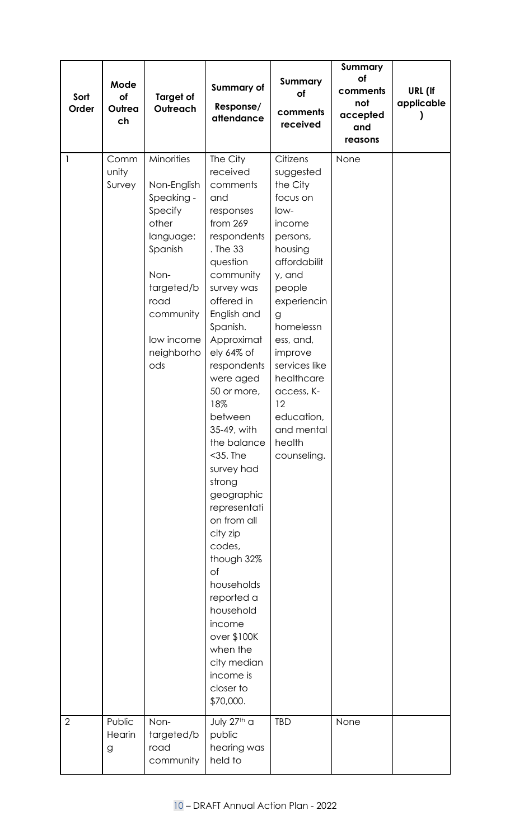| Sort                           | Mode<br>of<br>Outrea<br>ch        | <b>Target of</b><br>Outreach                                                                                                                                              | <b>Summary of</b>                                                                                                                                                                                                                                                                                                                                                                                                                                                                                                                                                                   | Summary<br>of                                                                                                                                                                                                                                                                                             | <b>Summary</b><br>of<br>comments | URL (If    |
|--------------------------------|-----------------------------------|---------------------------------------------------------------------------------------------------------------------------------------------------------------------------|-------------------------------------------------------------------------------------------------------------------------------------------------------------------------------------------------------------------------------------------------------------------------------------------------------------------------------------------------------------------------------------------------------------------------------------------------------------------------------------------------------------------------------------------------------------------------------------|-----------------------------------------------------------------------------------------------------------------------------------------------------------------------------------------------------------------------------------------------------------------------------------------------------------|----------------------------------|------------|
| Order                          |                                   |                                                                                                                                                                           | Response/<br>attendance                                                                                                                                                                                                                                                                                                                                                                                                                                                                                                                                                             | comments<br>received                                                                                                                                                                                                                                                                                      | not<br>accepted<br>and           | applicable |
|                                |                                   |                                                                                                                                                                           |                                                                                                                                                                                                                                                                                                                                                                                                                                                                                                                                                                                     |                                                                                                                                                                                                                                                                                                           | reasons                          |            |
| $\mathbf{1}$<br>$\overline{2}$ | Comm<br>unity<br>Survey<br>Public | Minorities<br>Non-English<br>Speaking -<br>Specify<br>other<br>language:<br>Spanish<br>Non-<br>targeted/b<br>road<br>community<br>low income<br>neighborho<br>ods<br>Non- | The City<br>received<br>comments<br>and<br>responses<br>from 269<br>respondents<br>. The 33<br>question<br>community<br>survey was<br>offered in<br>English and<br>Spanish.<br>Approximat<br>ely 64% of<br>respondents<br>were aged<br>50 or more,<br>18%<br>between<br>35-49, with<br>the balance<br>$<$ 35. The<br>survey had<br>strong<br>geographic<br>representati<br>on from all<br>city zip<br>codes,<br>though 32%<br>Оf<br>households<br>reported a<br>household<br>income<br>over \$100K<br>when the<br>city median<br>income is<br>closer to<br>\$70,000.<br>July 27th a | Citizens<br>suggested<br>the City<br>focus on<br>low-<br>income<br>persons,<br>housing<br>affordabilit<br>y, and<br>people<br>experiencin<br>g<br>homelessn<br>ess, and,<br>improve<br>services like<br>healthcare<br>access, K-<br>12<br>education,<br>and mental<br>health<br>counseling.<br><b>TBD</b> | None<br>None                     |            |
|                                | Hearin<br>g                       | targeted/b<br>road<br>community                                                                                                                                           | public<br>hearing was<br>held to                                                                                                                                                                                                                                                                                                                                                                                                                                                                                                                                                    |                                                                                                                                                                                                                                                                                                           |                                  |            |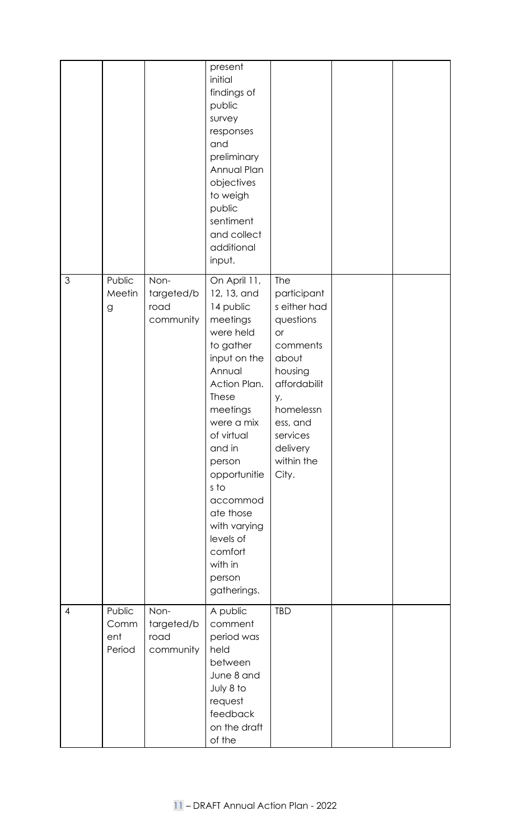|                |                                 |                                         | present<br>initial<br>findings of<br>public<br>survey<br>responses<br>and<br>preliminary<br>Annual Plan<br>objectives<br>to weigh<br>public<br>sentiment<br>and collect<br>additional<br>input.                                                                                                                            |                                                                                                                                                                                            |  |
|----------------|---------------------------------|-----------------------------------------|----------------------------------------------------------------------------------------------------------------------------------------------------------------------------------------------------------------------------------------------------------------------------------------------------------------------------|--------------------------------------------------------------------------------------------------------------------------------------------------------------------------------------------|--|
| $\mathfrak{S}$ | Public<br>Meetin<br>g           | Non-<br>targeted/b<br>road<br>community | On April 11,<br>12, 13, and<br>14 public<br>meetings<br>were held<br>to gather<br>input on the<br>Annual<br>Action Plan.<br>These<br>meetings<br>were a mix<br>of virtual<br>and in<br>person<br>opportunitie<br>s to<br>accommod<br>ate those<br>with varying<br>levels of<br>comfort<br>with in<br>person<br>gatherings. | <b>The</b><br>participant<br>s either had<br>questions<br>or<br>comments<br>about<br>housing<br>affordabilit<br>y,<br>homelessn<br>ess, and<br>services<br>delivery<br>within the<br>City. |  |
| $\overline{4}$ | Public<br>Comm<br>ent<br>Period | Non-<br>targeted/b<br>road<br>community | A public<br>comment<br>period was<br>held<br>between<br>June 8 and<br>July 8 to<br>request<br>feedback<br>on the draft<br>of the                                                                                                                                                                                           | <b>TBD</b>                                                                                                                                                                                 |  |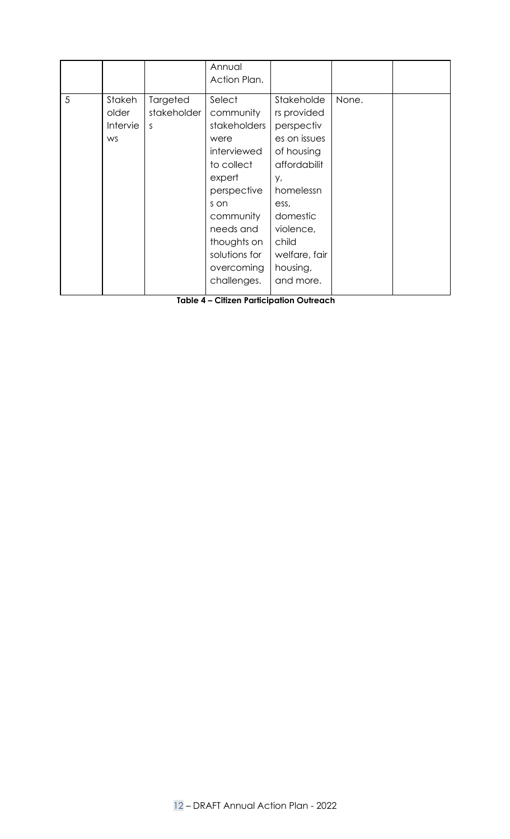|   |                                          |                               | Annual<br>Action Plan.                                                                                                                                                                           |                                                                                                                                                                                              |       |  |
|---|------------------------------------------|-------------------------------|--------------------------------------------------------------------------------------------------------------------------------------------------------------------------------------------------|----------------------------------------------------------------------------------------------------------------------------------------------------------------------------------------------|-------|--|
| 5 | Stakeh<br>older<br>Intervie<br><b>WS</b> | Targeted<br>stakeholder<br>S. | Select<br>community<br>stakeholders<br>were<br>interviewed<br>to collect<br>expert<br>perspective<br>s on<br>community<br>needs and<br>thoughts on<br>solutions for<br>overcoming<br>challenges. | Stakeholde<br>rs provided<br>perspectiv<br>es on issues<br>of housing<br>affordabilit<br>у,<br>homelessn<br>ess,<br>domestic<br>violence,<br>child<br>welfare, fair<br>housing,<br>and more. | None. |  |

**Table 4 – Citizen Participation Outreach**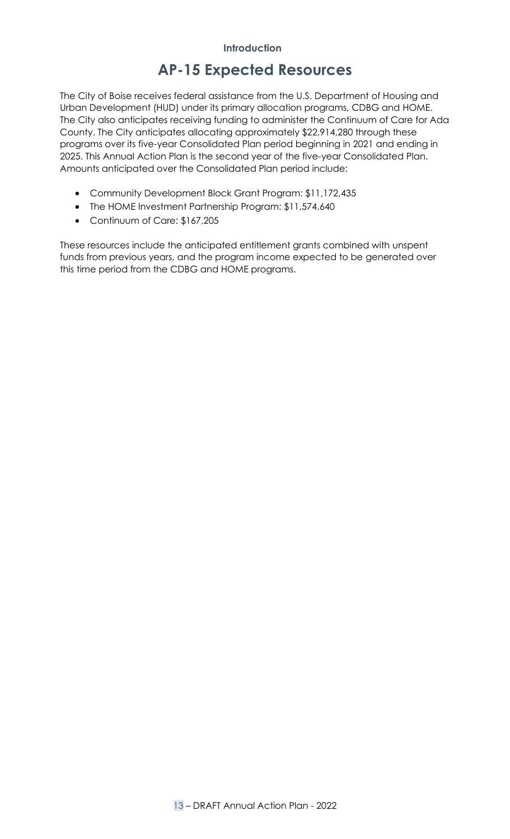# <span id="page-12-1"></span>**AP-15 Expected Resources**

<span id="page-12-0"></span>The City of Boise receives federal assistance from the U.S. Department of Housing and Urban Development (HUD) under its primary allocation programs, CDBG and HOME. The City also anticipates receiving funding to administer the Continuum of Care for Ada County. The City anticipates allocating approximately \$22,914,280 through these programs over its five-year Consolidated Plan period beginning in 2021 and ending in 2025. This Annual Action Plan is the second year of the five-year Consolidated Plan. Amounts anticipated over the Consolidated Plan period include:

- Community Development Block Grant Program: \$11,172,435
- The HOME Investment Partnership Program: \$11,574,640
- Continuum of Care: \$167,205

These resources include the anticipated entitlement grants combined with unspent funds from previous years, and the program income expected to be generated over this time period from the CDBG and HOME programs.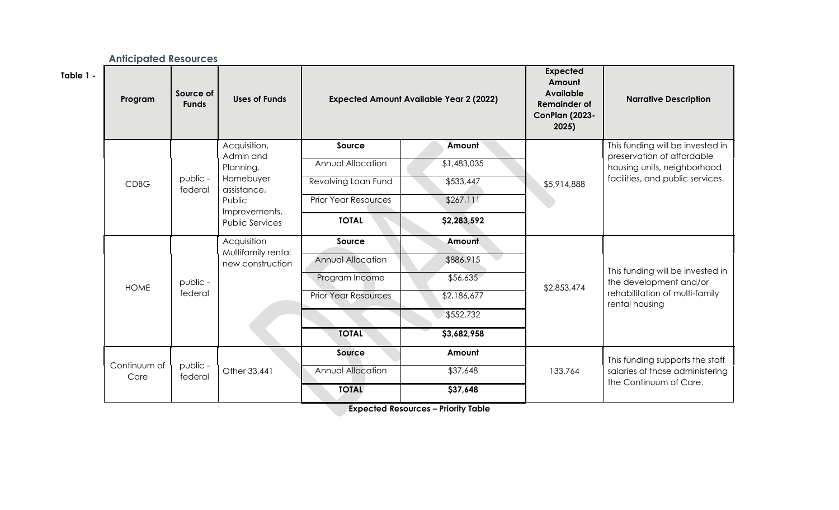|           | <b>Anticipated Resources</b> |                           |                                         |                             |                                                |                                                                                                        |                                                            |  |  |
|-----------|------------------------------|---------------------------|-----------------------------------------|-----------------------------|------------------------------------------------|--------------------------------------------------------------------------------------------------------|------------------------------------------------------------|--|--|
| Table 1 - | Program                      | Source of<br><b>Funds</b> | <b>Uses of Funds</b>                    |                             | <b>Expected Amount Available Year 2 (2022)</b> | <b>Expected</b><br>Amount<br><b>Available</b><br><b>Remainder of</b><br><b>ConPlan (2023-</b><br>2025) | <b>Narrative Description</b>                               |  |  |
|           |                              |                           | Acquisition,                            | Source                      | Amount                                         |                                                                                                        | This funding will be invested in                           |  |  |
|           |                              |                           | Admin and<br>Planning.                  | Annual Allocation           | \$1,483,035                                    |                                                                                                        | preservation of affordable<br>housing units, neighborhood  |  |  |
|           | <b>CDBG</b>                  | public -<br>federal       | Homebuyer<br>assistance,                | Revolving Loan Fund         | \$533,447                                      | \$5,914,888                                                                                            | facilities, and public services.                           |  |  |
|           |                              |                           | Public                                  | <b>Prior Year Resources</b> | \$267,111                                      |                                                                                                        |                                                            |  |  |
|           |                              |                           | Improvements,<br><b>Public Services</b> | <b>TOTAL</b>                | \$2,283,592                                    |                                                                                                        |                                                            |  |  |
|           |                              |                           | Acquisition                             | Source                      | Amount                                         |                                                                                                        |                                                            |  |  |
|           |                              |                           | Multifamily rental<br>new construction  | <b>Annual Allocation</b>    | \$886,915                                      |                                                                                                        |                                                            |  |  |
|           | <b>HOME</b>                  | public -<br>federal       |                                         | Program Income              | \$56,635                                       |                                                                                                        | This funding will be invested in<br>the development and/or |  |  |
|           |                              |                           |                                         | <b>Prior Year Resources</b> | \$2,186,677                                    | \$2,853,474                                                                                            | rehabilitation of multi-family<br>rental housing           |  |  |
|           |                              |                           |                                         |                             | \$552,732                                      |                                                                                                        |                                                            |  |  |
|           |                              |                           |                                         | <b>TOTAL</b>                | \$3,682,958                                    |                                                                                                        |                                                            |  |  |
|           |                              |                           |                                         | Source                      | Amount                                         |                                                                                                        | This funding supports the staff                            |  |  |
|           | Continuum of<br>Care         | public -<br>federal       | Other 33,441                            | <b>Annual Allocation</b>    | \$37,648                                       | 133,764                                                                                                | salaries of those administering<br>the Continuum of Care.  |  |  |
|           |                              |                           |                                         | <b>TOTAL</b>                | \$37,648                                       |                                                                                                        |                                                            |  |  |

<span id="page-13-0"></span>**Expected Resources – Priority Table**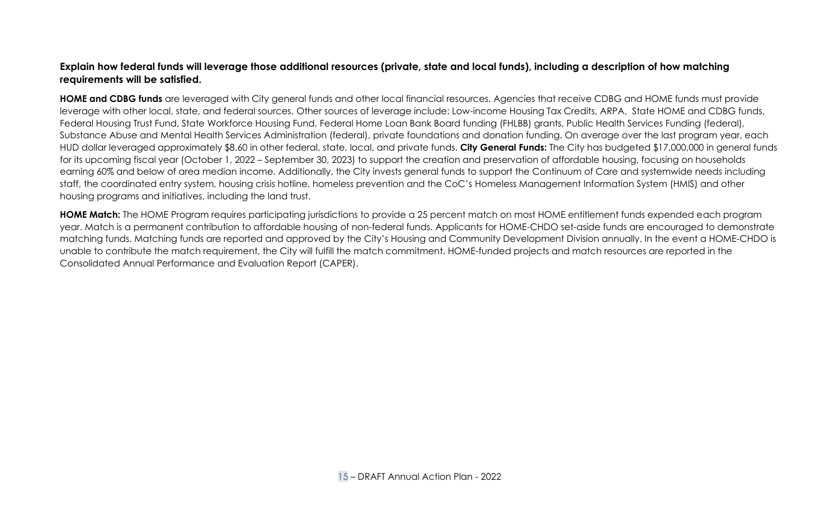### **Explain how federal funds will leverage those additional resources (private, state and local funds), including a description of how matching requirements will be satisfied.**

**HOME and CDBG funds** are leveraged with City general funds and other local financial resources. Agencies that receive CDBG and HOME funds must provide leverage with other local, state, and federal sources. Other sources of leverage include: Low-income Housing Tax Credits, ARPA. State HOME and CDBG funds, Federal Housing Trust Fund, State Workforce Housing Fund, Federal Home Loan Bank Board funding (FHLBB) grants, Public Health Services Funding (federal), Substance Abuse and Mental Health Services Administration (federal), private foundations and donation funding. On average over the last program year, each HUD dollar leveraged approximately \$8.60 in other federal, state, local, and private funds. **City General Funds:** The City has budgeted \$17,000,000 in general funds for its upcoming fiscal year (October 1, 2022 – September 30, 2023) to support the creation and preservation of affordable housing, focusing on households earning 60% and below of area median income. Additionally, the City invests general funds to support the Continuum of Care and systemwide needs including staff, the coordinated entry system, housing crisis hotline, homeless prevention and the CoC's Homeless Management Information System (HMIS) and other housing programs and initiatives, including the land trust.

**HOME Match:** The HOME Program requires participating jurisdictions to provide a 25 percent match on most HOME entitlement funds expended each program year. Match is a permanent contribution to affordable housing of non-federal funds. Applicants for HOME-CHDO set-aside funds are encouraged to demonstrate matching funds. Matching funds are reported and approved by the City's Housing and Community Development Division annually. In the event a HOME-CHDO is unable to contribute the match requirement, the City will fulfill the match commitment. HOME-funded projects and match resources are reported in the Consolidated Annual Performance and Evaluation Report (CAPER).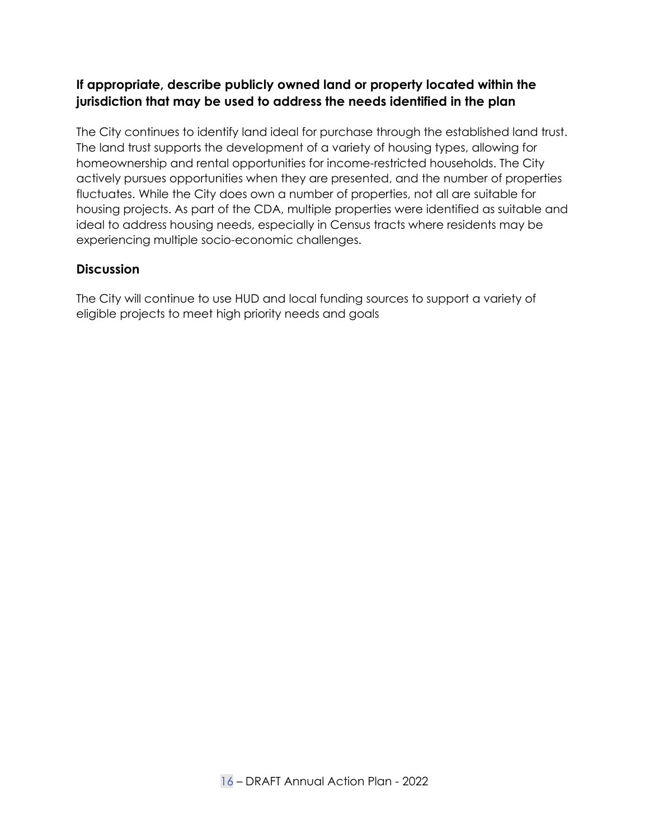# **If appropriate, describe publicly owned land or property located within the jurisdiction that may be used to address the needs identified in the plan**

The City continues to identify land ideal for purchase through the established land trust. The land trust supports the development of a variety of housing types, allowing for homeownership and rental opportunities for income-restricted households. The City actively pursues opportunities when they are presented, and the number of properties fluctuates. While the City does own a number of properties, not all are suitable for housing projects. As part of the CDA, multiple properties were identified as suitable and ideal to address housing needs, especially in Census tracts where residents may be experiencing multiple socio-economic challenges.

### **Discussion**

The City will continue to use HUD and local funding sources to support a variety of eligible projects to meet high priority needs and goals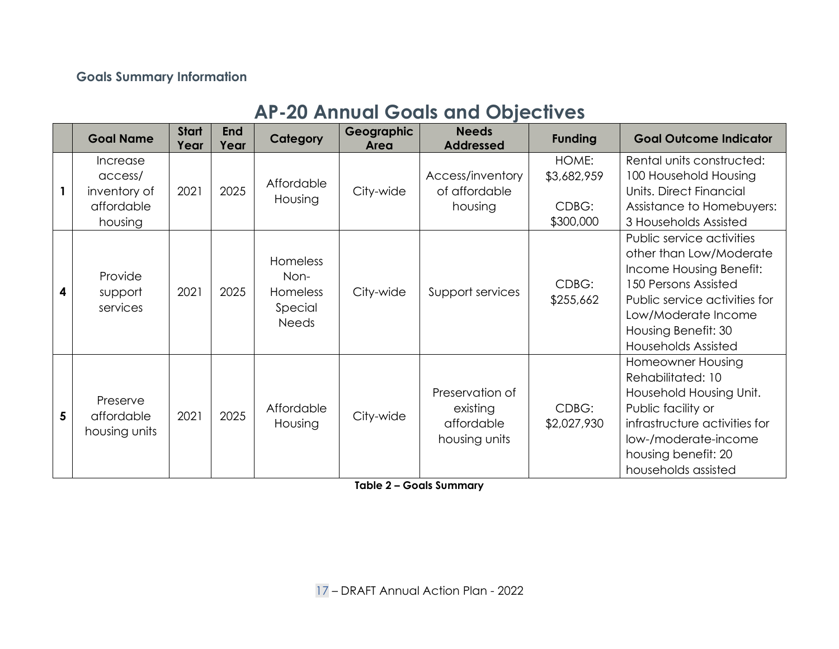## **Goals Summary Information**

# **AP-20 Annual Goals and Objectives**

|   | <b>Goal Name</b>                                             | <b>Start</b><br>Year | <b>End</b><br>Year | Category                                                       | Geographic<br>Area | <b>Needs</b><br><b>Addressed</b>                           | <b>Funding</b>                             | <b>Goal Outcome Indicator</b>                                                                                                                                                                                        |
|---|--------------------------------------------------------------|----------------------|--------------------|----------------------------------------------------------------|--------------------|------------------------------------------------------------|--------------------------------------------|----------------------------------------------------------------------------------------------------------------------------------------------------------------------------------------------------------------------|
|   | Increase<br>access/<br>inventory of<br>affordable<br>housing | 2021                 | 2025               | Affordable<br>Housing                                          | City-wide          | Access/inventory<br>of affordable<br>housing               | HOME:<br>\$3,682,959<br>CDBG:<br>\$300,000 | Rental units constructed:<br>100 Household Housing<br>Units, Direct Financial<br>Assistance to Homebuyers:<br>3 Households Assisted                                                                                  |
|   | Provide<br>support<br>services                               | 2021                 | 2025               | Homeless<br>Non-<br><b>Homeless</b><br>Special<br><b>Needs</b> | City-wide          | Support services                                           | CDBG:<br>\$255,662                         | Public service activities<br>other than Low/Moderate<br>Income Housing Benefit:<br>150 Persons Assisted<br>Public service activities for<br>Low/Moderate Income<br>Housing Benefit: 30<br><b>Households Assisted</b> |
| 5 | Preserve<br>affordable<br>housing units                      | 2021                 | 2025               | Affordable<br>Housing                                          | City-wide          | Preservation of<br>existing<br>affordable<br>housing units | CDBG:<br>\$2,027,930                       | Homeowner Housing<br>Rehabilitated: 10<br>Household Housing Unit.<br>Public facility or<br>infrastructure activities for<br>low-/moderate-income<br>housing benefit: 20<br>households assisted                       |

<span id="page-16-1"></span><span id="page-16-0"></span>**Table 2 – Goals Summary**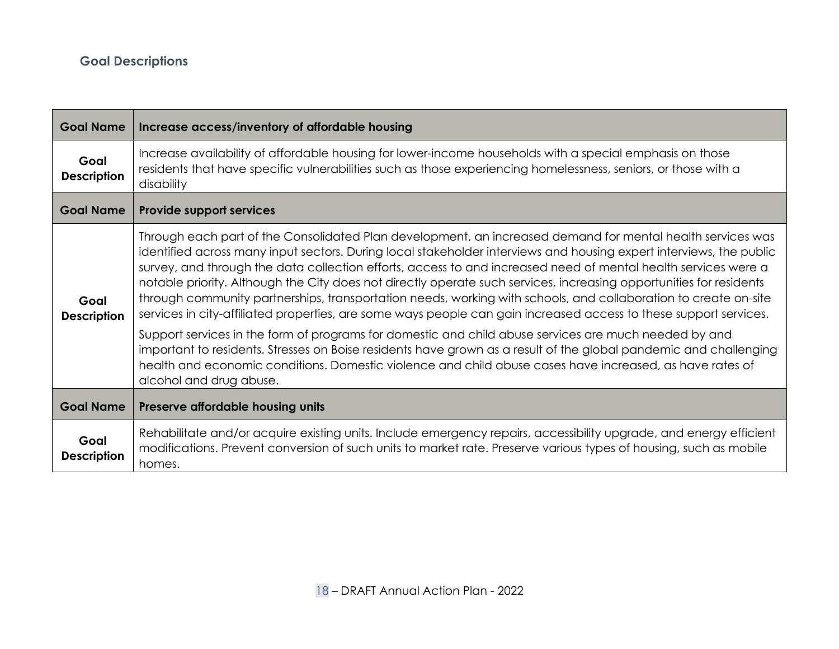# **Goal Descriptions**

┓

<span id="page-17-0"></span>

| <b>Goal Name</b>           | Increase access/inventory of affordable housing                                                                                                                                                                                                                                                                                                                                                                                                                                                                                                                                                                                                                                                                                                                                                                                                                                                                                                                                                                                                                                         |  |  |
|----------------------------|-----------------------------------------------------------------------------------------------------------------------------------------------------------------------------------------------------------------------------------------------------------------------------------------------------------------------------------------------------------------------------------------------------------------------------------------------------------------------------------------------------------------------------------------------------------------------------------------------------------------------------------------------------------------------------------------------------------------------------------------------------------------------------------------------------------------------------------------------------------------------------------------------------------------------------------------------------------------------------------------------------------------------------------------------------------------------------------------|--|--|
| Goal<br><b>Description</b> | Increase availability of affordable housing for lower-income households with a special emphasis on those<br>residents that have specific vulnerabilities such as those experiencing homelessness, seniors, or those with a<br>disability                                                                                                                                                                                                                                                                                                                                                                                                                                                                                                                                                                                                                                                                                                                                                                                                                                                |  |  |
| <b>Goal Name</b>           | <b>Provide support services</b>                                                                                                                                                                                                                                                                                                                                                                                                                                                                                                                                                                                                                                                                                                                                                                                                                                                                                                                                                                                                                                                         |  |  |
| Goal<br><b>Description</b> | Through each part of the Consolidated Plan development, an increased demand for mental health services was<br>identified across many input sectors. During local stakeholder interviews and housing expert interviews, the public<br>survey, and through the data collection efforts, access to and increased need of mental health services were a<br>notable priority. Although the City does not directly operate such services, increasing opportunities for residents<br>through community partnerships, transportation needs, working with schools, and collaboration to create on-site<br>services in city-affiliated properties, are some ways people can gain increased access to these support services.<br>Support services in the form of programs for domestic and child abuse services are much needed by and<br>important to residents. Stresses on Boise residents have grown as a result of the global pandemic and challenging<br>health and economic conditions. Domestic violence and child abuse cases have increased, as have rates of<br>alcohol and drug abuse. |  |  |
| <b>Goal Name</b>           | Preserve affordable housing units                                                                                                                                                                                                                                                                                                                                                                                                                                                                                                                                                                                                                                                                                                                                                                                                                                                                                                                                                                                                                                                       |  |  |
| Goal<br><b>Description</b> | Rehabilitate and/or acquire existing units. Include emergency repairs, accessibility upgrade, and energy efficient<br>modifications. Prevent conversion of such units to market rate. Preserve various types of housing, such as mobile<br>homes.                                                                                                                                                                                                                                                                                                                                                                                                                                                                                                                                                                                                                                                                                                                                                                                                                                       |  |  |

п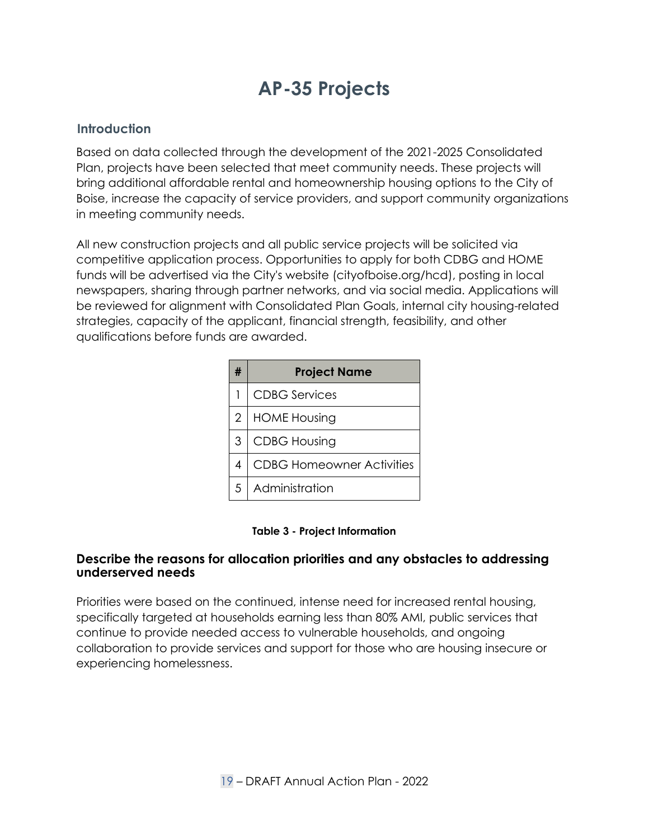# **AP-35 Projects**

#### **Introduction**

Based on data collected through the development of the 2021-2025 Consolidated Plan, projects have been selected that meet community needs. These projects will bring additional affordable rental and homeownership housing options to the City of Boise, increase the capacity of service providers, and support community organizations in meeting community needs.

<span id="page-18-1"></span><span id="page-18-0"></span>All new construction projects and all public service projects will be solicited via competitive application process. Opportunities to apply for both CDBG and HOME funds will be advertised via the City's website (cityofboise.org/hcd), posting in local newspapers, sharing through partner networks, and via social media. Applications will be reviewed for alignment with Consolidated Plan Goals, internal city housing-related strategies, capacity of the applicant, financial strength, feasibility, and other qualifications before funds are awarded.

|                | <b>Project Name</b>              |
|----------------|----------------------------------|
|                | <b>CDBG</b> Services             |
| $\overline{2}$ | <b>HOME Housing</b>              |
| 3              | <b>CDBG Housing</b>              |
| 4              | <b>CDBG Homeowner Activities</b> |
| .5             | Administration                   |

#### **Table 3 - Project Information**

#### **Describe the reasons for allocation priorities and any obstacles to addressing underserved needs**

Priorities were based on the continued, intense need for increased rental housing, specifically targeted at households earning less than 80% AMI, public services that continue to provide needed access to vulnerable households, and ongoing collaboration to provide services and support for those who are housing insecure or experiencing homelessness.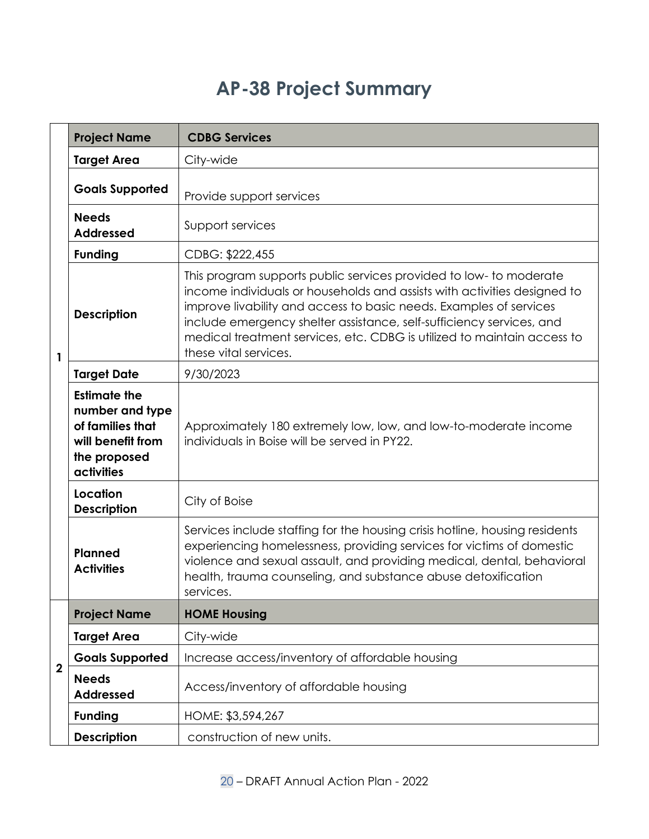# **AP-38 Project Summary**

<span id="page-19-0"></span>

|                         | <b>Project Name</b>                                                                                           | <b>CDBG Services</b>                                                                                                                                                                                                                                                                                                                                                                             |  |  |
|-------------------------|---------------------------------------------------------------------------------------------------------------|--------------------------------------------------------------------------------------------------------------------------------------------------------------------------------------------------------------------------------------------------------------------------------------------------------------------------------------------------------------------------------------------------|--|--|
|                         | <b>Target Area</b>                                                                                            | City-wide                                                                                                                                                                                                                                                                                                                                                                                        |  |  |
|                         | <b>Goals Supported</b>                                                                                        | Provide support services                                                                                                                                                                                                                                                                                                                                                                         |  |  |
|                         | <b>Needs</b><br><b>Addressed</b>                                                                              | Support services                                                                                                                                                                                                                                                                                                                                                                                 |  |  |
|                         | <b>Funding</b>                                                                                                | CDBG: \$222,455                                                                                                                                                                                                                                                                                                                                                                                  |  |  |
| $\mathbf{1}$            | <b>Description</b>                                                                                            | This program supports public services provided to low- to moderate<br>income individuals or households and assists with activities designed to<br>improve livability and access to basic needs. Examples of services<br>include emergency shelter assistance, self-sufficiency services, and<br>medical treatment services, etc. CDBG is utilized to maintain access to<br>these vital services. |  |  |
|                         | <b>Target Date</b>                                                                                            | 9/30/2023                                                                                                                                                                                                                                                                                                                                                                                        |  |  |
|                         | <b>Estimate the</b><br>number and type<br>of families that<br>will benefit from<br>the proposed<br>activities | Approximately 180 extremely low, low, and low-to-moderate income<br>individuals in Boise will be served in PY22.                                                                                                                                                                                                                                                                                 |  |  |
|                         | Location<br><b>Description</b>                                                                                | City of Boise                                                                                                                                                                                                                                                                                                                                                                                    |  |  |
|                         | <b>Planned</b><br><b>Activities</b>                                                                           | Services include staffing for the housing crisis hotline, housing residents<br>experiencing homelessness, providing services for victims of domestic<br>violence and sexual assault, and providing medical, dental, behavioral<br>health, trauma counseling, and substance abuse detoxification<br>services.                                                                                     |  |  |
|                         | <b>Project Name</b>                                                                                           | <b>HOME Housing</b>                                                                                                                                                                                                                                                                                                                                                                              |  |  |
|                         | <b>Target Area</b>                                                                                            | City-wide                                                                                                                                                                                                                                                                                                                                                                                        |  |  |
| $\overline{\mathbf{2}}$ | <b>Goals Supported</b>                                                                                        | Increase access/inventory of affordable housing                                                                                                                                                                                                                                                                                                                                                  |  |  |
|                         | <b>Needs</b><br><b>Addressed</b>                                                                              | Access/inventory of affordable housing                                                                                                                                                                                                                                                                                                                                                           |  |  |
|                         | <b>Funding</b>                                                                                                | HOME: \$3,594,267                                                                                                                                                                                                                                                                                                                                                                                |  |  |
|                         | <b>Description</b>                                                                                            | construction of new units.                                                                                                                                                                                                                                                                                                                                                                       |  |  |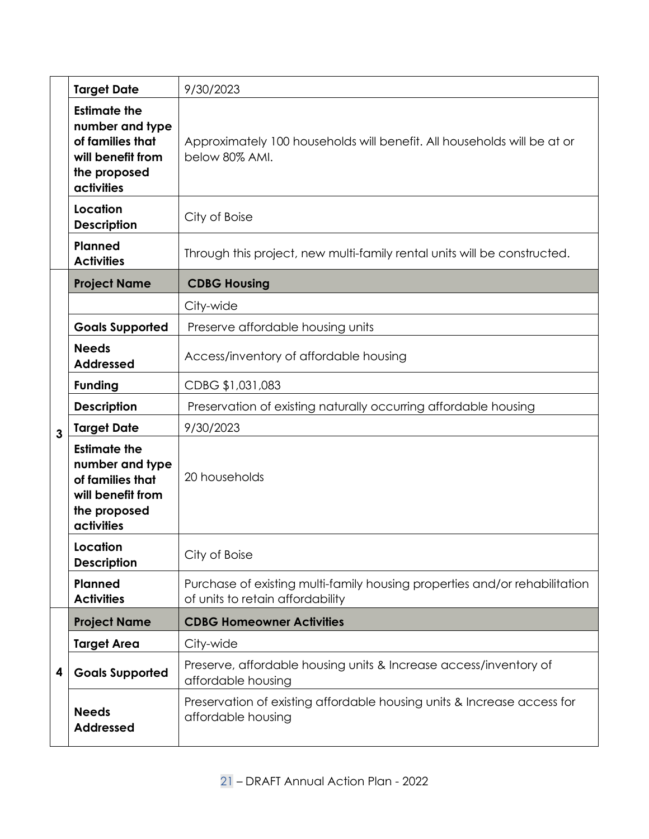|              | <b>Target Date</b>                                                                                            | 9/30/2023                                                                                                      |  |
|--------------|---------------------------------------------------------------------------------------------------------------|----------------------------------------------------------------------------------------------------------------|--|
|              | <b>Estimate the</b><br>number and type<br>of families that<br>will benefit from<br>the proposed<br>activities | Approximately 100 households will benefit. All households will be at or<br>below 80% AMI.                      |  |
|              | Location<br><b>Description</b>                                                                                | City of Boise                                                                                                  |  |
|              | <b>Planned</b><br><b>Activities</b>                                                                           | Through this project, new multi-family rental units will be constructed.                                       |  |
|              | <b>Project Name</b>                                                                                           | <b>CDBG Housing</b>                                                                                            |  |
|              |                                                                                                               | City-wide                                                                                                      |  |
|              | <b>Goals Supported</b>                                                                                        | Preserve affordable housing units                                                                              |  |
|              | <b>Needs</b><br><b>Addressed</b>                                                                              | Access/inventory of affordable housing                                                                         |  |
|              | <b>Funding</b>                                                                                                | CDBG \$1,031,083                                                                                               |  |
|              | <b>Description</b>                                                                                            | Preservation of existing naturally occurring affordable housing                                                |  |
| $\mathbf{3}$ | <b>Target Date</b>                                                                                            | 9/30/2023                                                                                                      |  |
|              | <b>Estimate the</b><br>number and type<br>of families that<br>will benefit from<br>the proposed<br>activities | 20 households                                                                                                  |  |
|              | Location<br><b>Description</b>                                                                                | City of Boise                                                                                                  |  |
|              | Planned<br><b>Activities</b>                                                                                  | Purchase of existing multi-family housing properties and/or rehabilitation<br>of units to retain affordability |  |
|              | <b>Project Name</b>                                                                                           | <b>CDBG Homeowner Activities</b>                                                                               |  |
|              | <b>Target Area</b>                                                                                            | City-wide                                                                                                      |  |
| 4            | <b>Goals Supported</b>                                                                                        | Preserve, affordable housing units & Increase access/inventory of<br>affordable housing                        |  |
|              | <b>Needs</b><br><b>Addressed</b>                                                                              | Preservation of existing affordable housing units & Increase access for<br>affordable housing                  |  |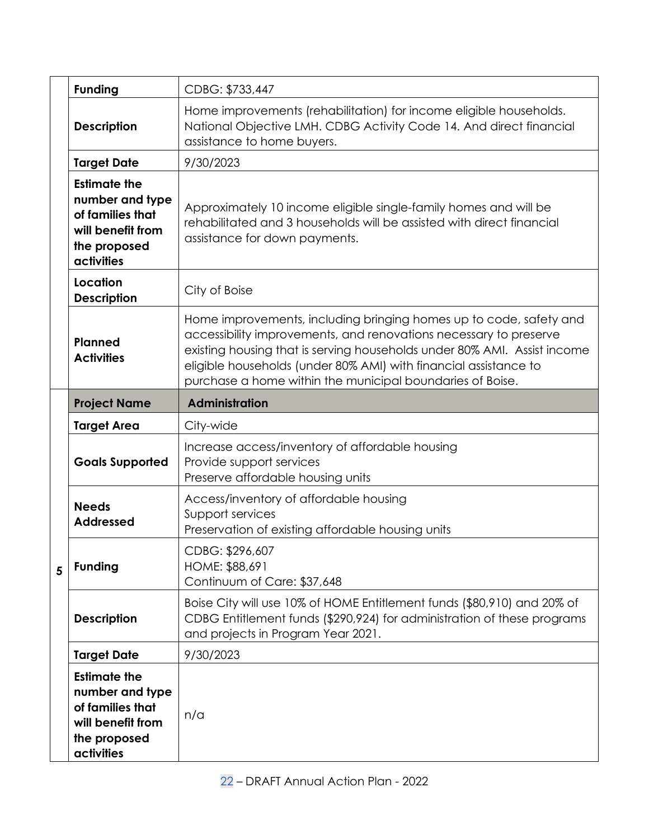|   | <b>Funding</b>                                                                                                | CDBG: \$733,447                                                                                                                                                                                                                                                                                                                                      |
|---|---------------------------------------------------------------------------------------------------------------|------------------------------------------------------------------------------------------------------------------------------------------------------------------------------------------------------------------------------------------------------------------------------------------------------------------------------------------------------|
|   | <b>Description</b>                                                                                            | Home improvements (rehabilitation) for income eligible households.<br>National Objective LMH. CDBG Activity Code 14. And direct financial<br>assistance to home buyers.                                                                                                                                                                              |
|   | <b>Target Date</b>                                                                                            | 9/30/2023                                                                                                                                                                                                                                                                                                                                            |
|   | <b>Estimate the</b><br>number and type<br>of families that<br>will benefit from<br>the proposed<br>activities | Approximately 10 income eligible single-family homes and will be<br>rehabilitated and 3 households will be assisted with direct financial<br>assistance for down payments.                                                                                                                                                                           |
|   | Location<br><b>Description</b>                                                                                | City of Boise                                                                                                                                                                                                                                                                                                                                        |
|   | <b>Planned</b><br><b>Activities</b>                                                                           | Home improvements, including bringing homes up to code, safety and<br>accessibility improvements, and renovations necessary to preserve<br>existing housing that is serving households under 80% AMI. Assist income<br>eligible households (under 80% AMI) with financial assistance to<br>purchase a home within the municipal boundaries of Boise. |
| 5 | <b>Project Name</b>                                                                                           | <b>Administration</b>                                                                                                                                                                                                                                                                                                                                |
|   | <b>Target Area</b>                                                                                            | City-wide                                                                                                                                                                                                                                                                                                                                            |
|   | <b>Goals Supported</b>                                                                                        | Increase access/inventory of affordable housing<br>Provide support services<br>Preserve affordable housing units                                                                                                                                                                                                                                     |
|   | <b>Needs</b><br><b>Addressed</b>                                                                              | Access/inventory of affordable housing<br>Support services<br>Preservation of existing affordable housing units                                                                                                                                                                                                                                      |
|   | <b>Funding</b>                                                                                                | CDBG: \$296,607<br>HOME: \$88,691<br>Continuum of Care: \$37,648                                                                                                                                                                                                                                                                                     |
|   |                                                                                                               |                                                                                                                                                                                                                                                                                                                                                      |
|   | <b>Description</b>                                                                                            | Boise City will use 10% of HOME Entitlement funds (\$80,910) and 20% of<br>CDBG Entitlement funds (\$290,924) for administration of these programs<br>and projects in Program Year 2021.                                                                                                                                                             |
|   | <b>Target Date</b>                                                                                            | 9/30/2023                                                                                                                                                                                                                                                                                                                                            |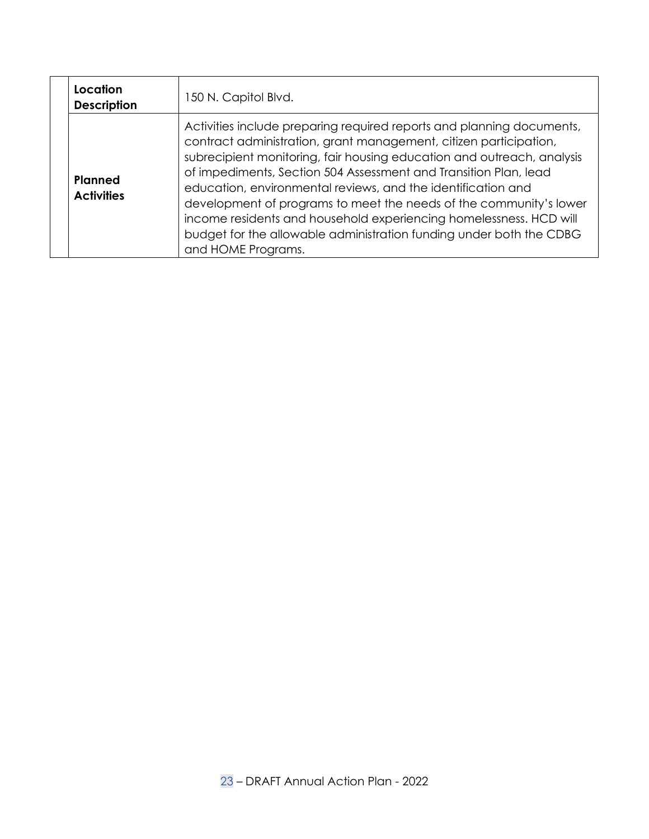| Location<br><b>Description</b>      | 150 N. Capitol Blvd.                                                                                                                                                                                                                                                                                                                                                                                                                                                                                                                                                                              |
|-------------------------------------|---------------------------------------------------------------------------------------------------------------------------------------------------------------------------------------------------------------------------------------------------------------------------------------------------------------------------------------------------------------------------------------------------------------------------------------------------------------------------------------------------------------------------------------------------------------------------------------------------|
| <b>Planned</b><br><b>Activities</b> | Activities include preparing required reports and planning documents,<br>contract administration, grant management, citizen participation,<br>subrecipient monitoring, fair housing education and outreach, analysis<br>of impediments, Section 504 Assessment and Transition Plan, lead<br>education, environmental reviews, and the identification and<br>development of programs to meet the needs of the community's lower<br>income residents and household experiencing homelessness. HCD will<br>budget for the allowable administration funding under both the CDBG<br>and HOME Programs. |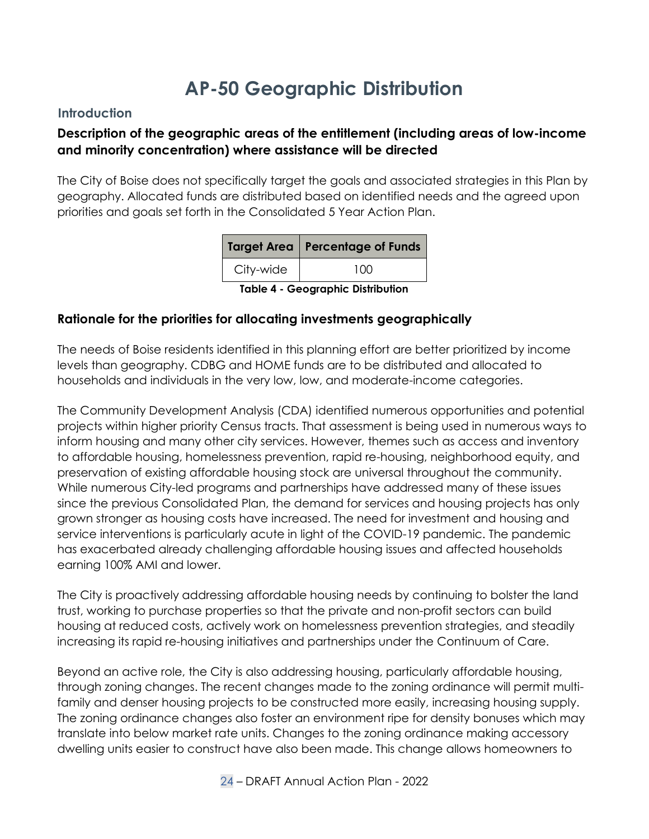# **AP-50 Geographic Distribution**

#### **Introduction**

# **Description of the geographic areas of the entitlement (including areas of low-income and minority concentration) where assistance will be directed**

The City of Boise does not specifically target the goals and associated strategies in this Plan by geography. Allocated funds are distributed based on identified needs and the agreed upon priorities and goals set forth in the Consolidated 5 Year Action Plan.

|                                   | Target Area   Percentage of Funds |  |
|-----------------------------------|-----------------------------------|--|
| City-wide                         | 100                               |  |
| Table A - Ceographic Distribution |                                   |  |

**Table 4 - Geographic Distribution**

#### <span id="page-23-0"></span>**Rationale for the priorities for allocating investments geographically**

<span id="page-23-1"></span>The needs of Boise residents identified in this planning effort are better prioritized by income levels than geography. CDBG and HOME funds are to be distributed and allocated to households and individuals in the very low, low, and moderate-income categories.

The Community Development Analysis (CDA) identified numerous opportunities and potential projects within higher priority Census tracts. That assessment is being used in numerous ways to inform housing and many other city services. However, themes such as access and inventory to affordable housing, homelessness prevention, rapid re-housing, neighborhood equity, and preservation of existing affordable housing stock are universal throughout the community. While numerous City-led programs and partnerships have addressed many of these issues since the previous Consolidated Plan, the demand for services and housing projects has only grown stronger as housing costs have increased. The need for investment and housing and service interventions is particularly acute in light of the COVID-19 pandemic. The pandemic has exacerbated already challenging affordable housing issues and affected households earning 100% AMI and lower.

The City is proactively addressing affordable housing needs by continuing to bolster the land trust, working to purchase properties so that the private and non-profit sectors can build housing at reduced costs, actively work on homelessness prevention strategies, and steadily increasing its rapid re-housing initiatives and partnerships under the Continuum of Care.

Beyond an active role, the City is also addressing housing, particularly affordable housing, through zoning changes. The recent changes made to the zoning ordinance will permit multifamily and denser housing projects to be constructed more easily, increasing housing supply. The zoning ordinance changes also foster an environment ripe for density bonuses which may translate into below market rate units. Changes to the zoning ordinance making accessory dwelling units easier to construct have also been made. This change allows homeowners to

24 – DRAFT Annual Action Plan - 2022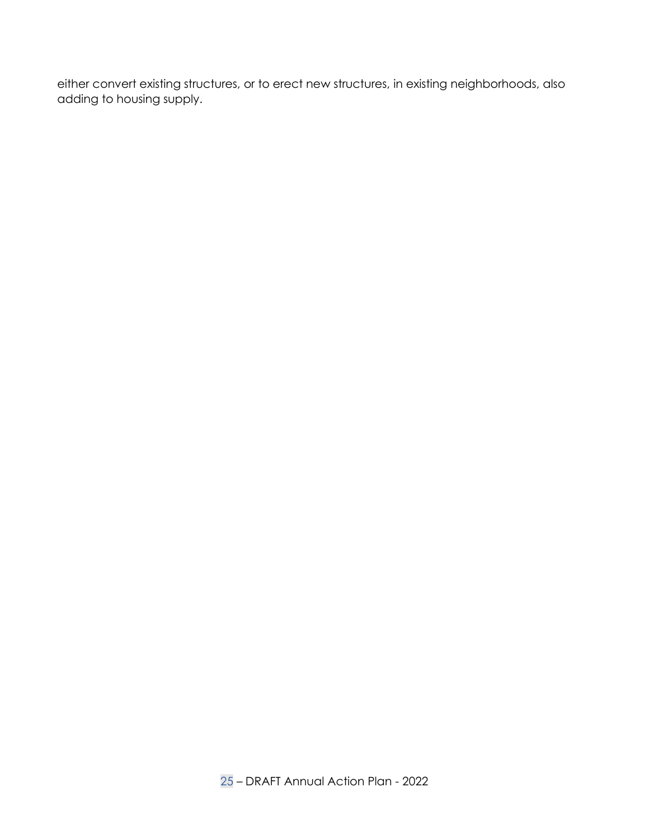either convert existing structures, or to erect new structures, in existing neighborhoods, also adding to housing supply.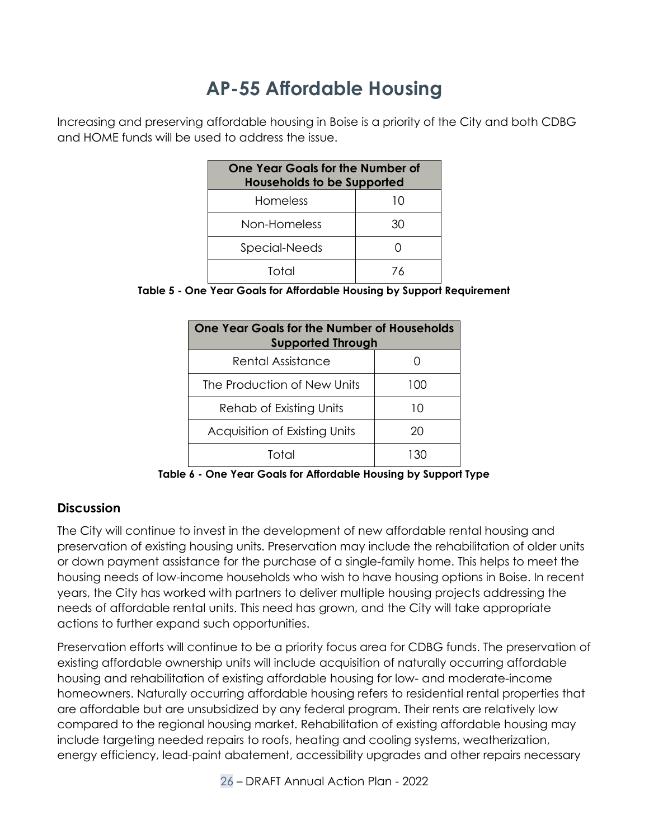# **AP-55 Affordable Housing**

Increasing and preserving affordable housing in Boise is a priority of the City and both CDBG and HOME funds will be used to address the issue.

| <b>One Year Goals for the Number of</b><br><b>Households to be Supported</b> |    |  |
|------------------------------------------------------------------------------|----|--|
| Homeless                                                                     | 10 |  |
| Non-Homeless                                                                 | 30 |  |
| Special-Needs                                                                |    |  |
| Total                                                                        | 76 |  |

<span id="page-25-0"></span>

|  |  | Table 5 - One Year Goals for Affordable Housing by Support Requirement |  |  |
|--|--|------------------------------------------------------------------------|--|--|
|--|--|------------------------------------------------------------------------|--|--|

| One Year Goals for the Number of Households<br><b>Supported Through</b> |     |  |
|-------------------------------------------------------------------------|-----|--|
| Rental Assistance                                                       |     |  |
| The Production of New Units                                             | 100 |  |
| Rehab of Existing Units                                                 | 10  |  |
| Acquisition of Existing Units                                           | 20  |  |
| Total                                                                   |     |  |

**Table 6 - One Year Goals for Affordable Housing by Support Type**

#### **Discussion**

The City will continue to invest in the development of new affordable rental housing and preservation of existing housing units. Preservation may include the rehabilitation of older units or down payment assistance for the purchase of a single-family home. This helps to meet the housing needs of low-income households who wish to have housing options in Boise. In recent years, the City has worked with partners to deliver multiple housing projects addressing the needs of affordable rental units. This need has grown, and the City will take appropriate actions to further expand such opportunities.

Preservation efforts will continue to be a priority focus area for CDBG funds. The preservation of existing affordable ownership units will include acquisition of naturally occurring affordable housing and rehabilitation of existing affordable housing for low- and moderate-income homeowners. Naturally occurring affordable housing refers to residential rental properties that are affordable but are unsubsidized by any federal program. Their rents are relatively low compared to the regional housing market. Rehabilitation of existing affordable housing may include targeting needed repairs to roofs, heating and cooling systems, weatherization, energy efficiency, lead-paint abatement, accessibility upgrades and other repairs necessary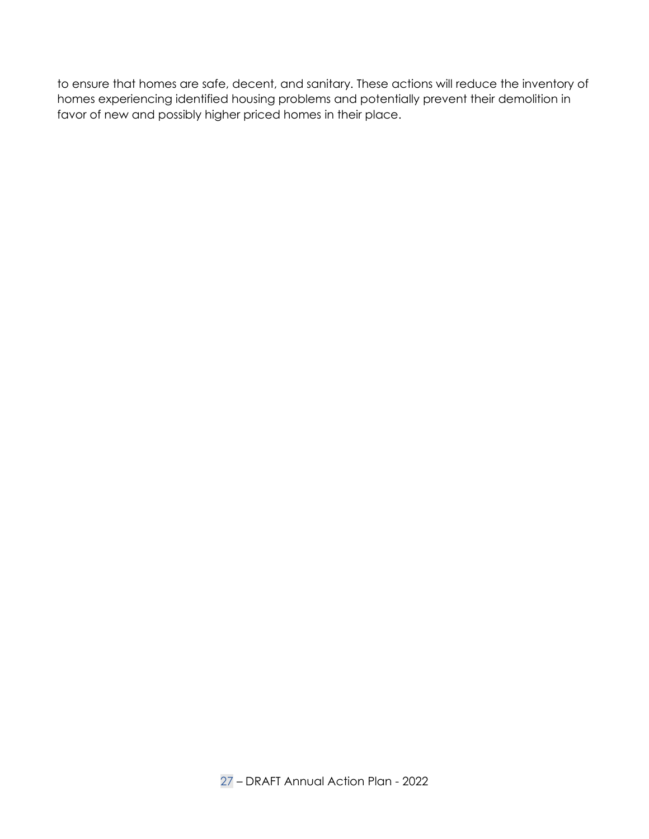to ensure that homes are safe, decent, and sanitary. These actions will reduce the inventory of homes experiencing identified housing problems and potentially prevent their demolition in favor of new and possibly higher priced homes in their place.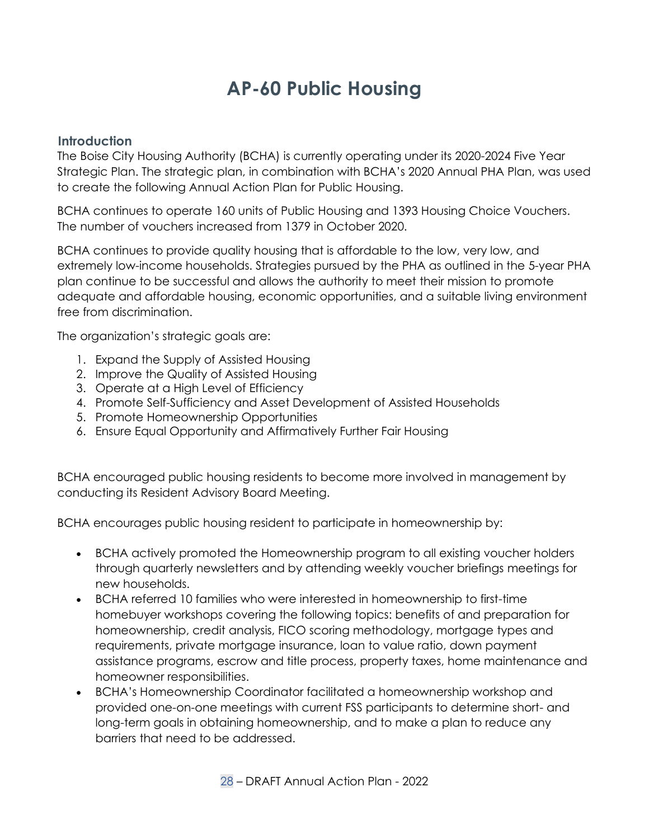# **AP-60 Public Housing**

#### **Introduction**

The Boise City Housing Authority (BCHA) is currently operating under its 2020-2024 Five Year Strategic Plan. The strategic plan, in combination with BCHA's 2020 Annual PHA Plan, was used to create the following Annual Action Plan for Public Housing.

BCHA continues to operate 160 units of Public Housing and 1393 Housing Choice Vouchers. The number of vouchers increased from 1379 in October 2020.

BCHA continues to provide quality housing that is affordable to the low, very low, and extremely low-income households. Strategies pursued by the PHA as outlined in the 5-year PHA plan continue to be successful and allows the authority to meet their mission to promote adequate and affordable housing, economic opportunities, and a suitable living environment free from discrimination.

<span id="page-27-1"></span><span id="page-27-0"></span>The organization's strategic goals are:

- 1. Expand the Supply of Assisted Housing
- 2. Improve the Quality of Assisted Housing
- 3. Operate at a High Level of Efficiency
- 4. Promote Self-Sufficiency and Asset Development of Assisted Households
- 5. Promote Homeownership Opportunities
- 6. Ensure Equal Opportunity and Affirmatively Further Fair Housing

BCHA encouraged public housing residents to become more involved in management by conducting its Resident Advisory Board Meeting.

BCHA encourages public housing resident to participate in homeownership by:

- BCHA actively promoted the Homeownership program to all existing voucher holders through quarterly newsletters and by attending weekly voucher briefings meetings for new households.
- BCHA referred 10 families who were interested in homeownership to first-time homebuyer workshops covering the following topics: benefits of and preparation for homeownership, credit analysis, FICO scoring methodology, mortgage types and requirements, private mortgage insurance, loan to value ratio, down payment assistance programs, escrow and title process, property taxes, home maintenance and homeowner responsibilities.
- BCHA's Homeownership Coordinator facilitated a homeownership workshop and provided one-on-one meetings with current FSS participants to determine short- and long-term goals in obtaining homeownership, and to make a plan to reduce any barriers that need to be addressed.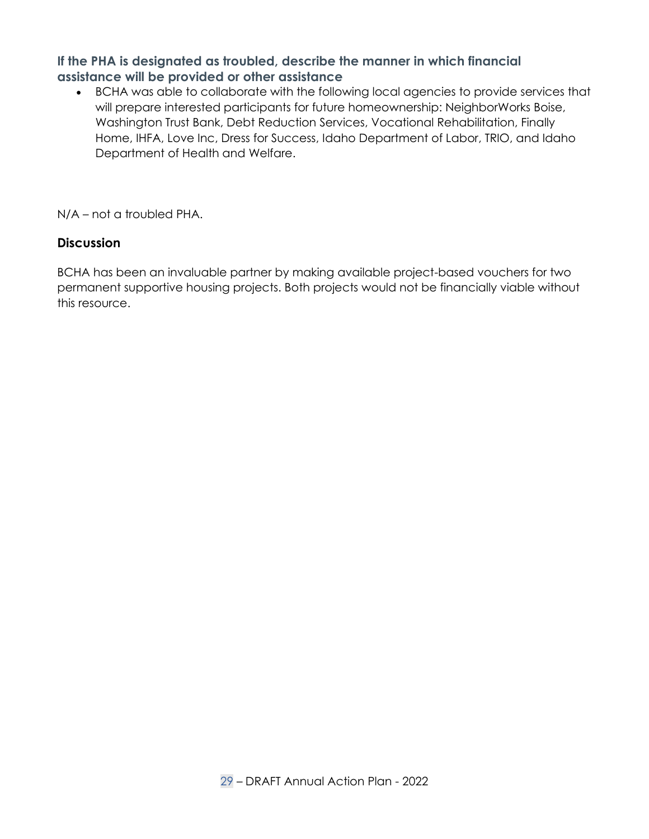### **If the PHA is designated as troubled, describe the manner in which financial assistance will be provided or other assistance**

• BCHA was able to collaborate with the following local agencies to provide services that will prepare interested participants for future homeownership: NeighborWorks Boise, Washington Trust Bank, Debt Reduction Services, Vocational Rehabilitation, Finally Home, IHFA, Love Inc, Dress for Success, Idaho Department of Labor, TRIO, and Idaho Department of Health and Welfare.

N/A – not a troubled PHA.

### **Discussion**

<span id="page-28-0"></span>BCHA has been an invaluable partner by making available project-based vouchers for two permanent supportive housing projects. Both projects would not be financially viable without this resource.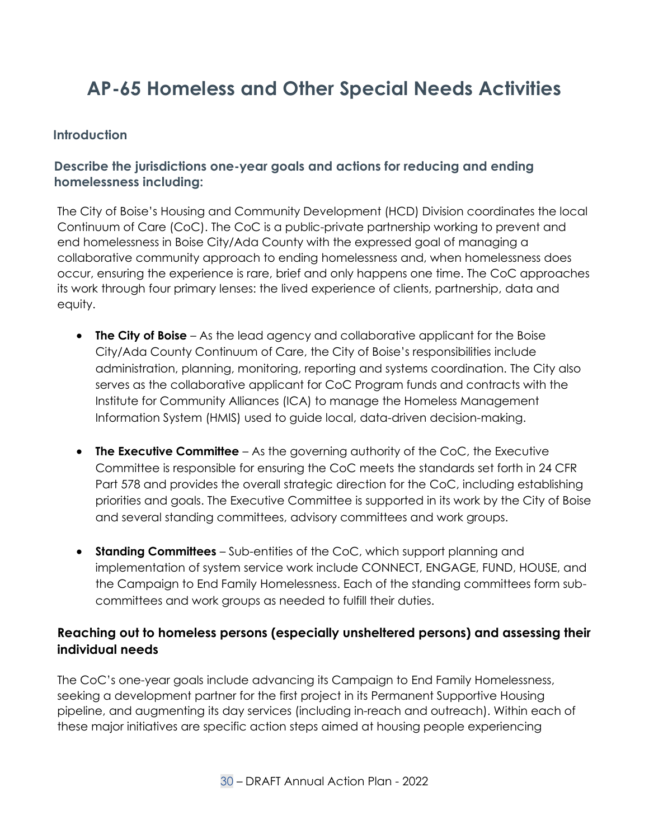# **AP-65 Homeless and Other Special Needs Activities**

#### **Introduction**

## **Describe the jurisdictions one-year goals and actions for reducing and ending homelessness including:**

The City of Boise's Housing and Community Development (HCD) Division coordinates the local Continuum of Care (CoC). The CoC is a public-private partnership working to prevent and end homelessness in Boise City/Ada County with the expressed goal of managing a collaborative community approach to ending homelessness and, when homelessness does occur, ensuring the experience is rare, brief and only happens one time. The CoC approaches its work through four primary lenses: the lived experience of clients, partnership, data and equity.

- <span id="page-29-1"></span><span id="page-29-0"></span>• **The City of Boise** – As the lead agency and collaborative applicant for the Boise City/Ada County Continuum of Care, the City of Boise's responsibilities include administration, planning, monitoring, reporting and systems coordination. The City also serves as the collaborative applicant for CoC Program funds and contracts with the Institute for Community Alliances (ICA) to manage the Homeless Management Information System (HMIS) used to guide local, data-driven decision-making.
- <span id="page-29-2"></span>• **The Executive Committee** – As the governing authority of the CoC, the Executive Committee is responsible for ensuring the CoC meets the standards set forth in 24 CFR Part 578 and provides the overall strategic direction for the CoC, including establishing priorities and goals. The Executive Committee is supported in its work by the City of Boise and several standing committees, advisory committees and work groups.
- **Standing Committees** Sub-entities of the CoC, which support planning and implementation of system service work include CONNECT, ENGAGE, FUND, HOUSE, and the Campaign to End Family Homelessness. Each of the standing committees form subcommittees and work groups as needed to fulfill their duties.

### **Reaching out to homeless persons (especially unsheltered persons) and assessing their individual needs**

The CoC's one-year goals include advancing its Campaign to End Family Homelessness, seeking a development partner for the first project in its Permanent Supportive Housing pipeline, and augmenting its day services (including in-reach and outreach). Within each of these major initiatives are specific action steps aimed at housing people experiencing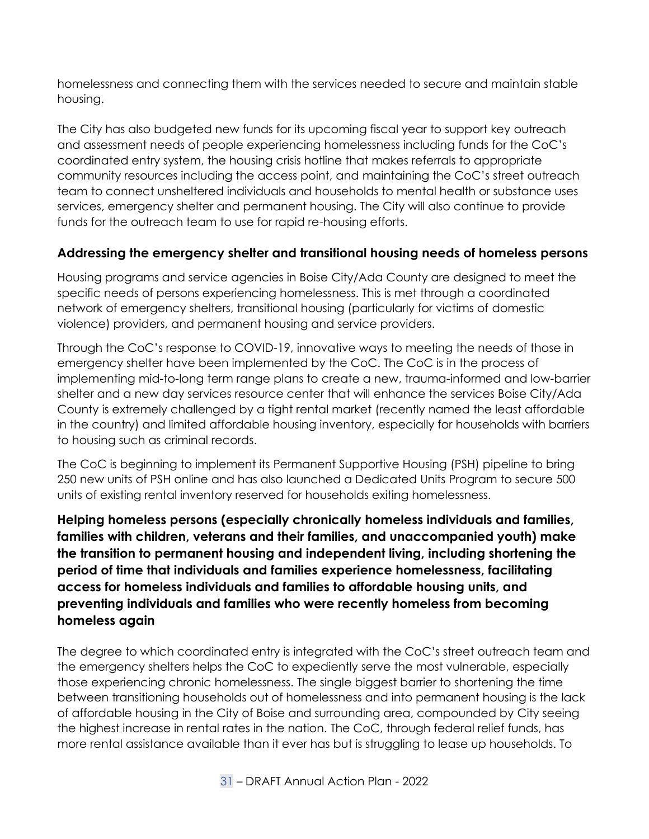homelessness and connecting them with the services needed to secure and maintain stable housing.

The City has also budgeted new funds for its upcoming fiscal year to support key outreach and assessment needs of people experiencing homelessness including funds for the CoC's coordinated entry system, the housing crisis hotline that makes referrals to appropriate community resources including the access point, and maintaining the CoC's street outreach team to connect unsheltered individuals and households to mental health or substance uses services, emergency shelter and permanent housing. The City will also continue to provide funds for the outreach team to use for rapid re-housing efforts.

### **Addressing the emergency shelter and transitional housing needs of homeless persons**

Housing programs and service agencies in Boise City/Ada County are designed to meet the specific needs of persons experiencing homelessness. This is met through a coordinated network of emergency shelters, transitional housing (particularly for victims of domestic violence) providers, and permanent housing and service providers.

Through the CoC's response to COVID-19, innovative ways to meeting the needs of those in emergency shelter have been implemented by the CoC. The CoC is in the process of implementing mid-to-long term range plans to create a new, trauma-informed and low-barrier shelter and a new day services resource center that will enhance the services Boise City/Ada County is extremely challenged by a tight rental market (recently named the least affordable in the country) and limited affordable housing inventory, especially for households with barriers to housing such as criminal records.

The CoC is beginning to implement its Permanent Supportive Housing (PSH) pipeline to bring 250 new units of PSH online and has also launched a Dedicated Units Program to secure 500 units of existing rental inventory reserved for households exiting homelessness.

**Helping homeless persons (especially chronically homeless individuals and families, families with children, veterans and their families, and unaccompanied youth) make the transition to permanent housing and independent living, including shortening the period of time that individuals and families experience homelessness, facilitating access for homeless individuals and families to affordable housing units, and preventing individuals and families who were recently homeless from becoming homeless again**

The degree to which coordinated entry is integrated with the CoC's street outreach team and the emergency shelters helps the CoC to expediently serve the most vulnerable, especially those experiencing chronic homelessness. The single biggest barrier to shortening the time between transitioning households out of homelessness and into permanent housing is the lack of affordable housing in the City of Boise and surrounding area, compounded by City seeing the highest increase in rental rates in the nation. The CoC, through federal relief funds, has more rental assistance available than it ever has but is struggling to lease up households. To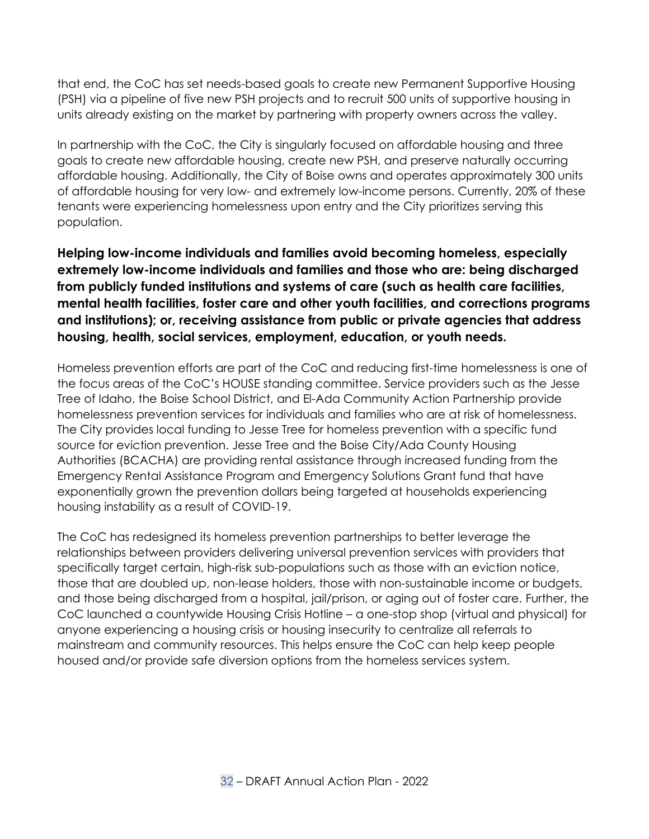that end, the CoC has set needs-based goals to create new Permanent Supportive Housing (PSH) via a pipeline of five new PSH projects and to recruit 500 units of supportive housing in units already existing on the market by partnering with property owners across the valley.

In partnership with the CoC, the City is singularly focused on affordable housing and three goals to create new affordable housing, create new PSH, and preserve naturally occurring affordable housing. Additionally, the City of Boise owns and operates approximately 300 units of affordable housing for very low- and extremely low-income persons. Currently, 20% of these tenants were experiencing homelessness upon entry and the City prioritizes serving this population.

**Helping low-income individuals and families avoid becoming homeless, especially extremely low-income individuals and families and those who are: being discharged from publicly funded institutions and systems of care (such as health care facilities, mental health facilities, foster care and other youth facilities, and corrections programs and institutions); or, receiving assistance from public or private agencies that address housing, health, social services, employment, education, or youth needs.**

Homeless prevention efforts are part of the CoC and reducing first-time homelessness is one of the focus areas of the CoC's HOUSE standing committee. Service providers such as the Jesse Tree of Idaho, the Boise School District, and El-Ada Community Action Partnership provide homelessness prevention services for individuals and families who are at risk of homelessness. The City provides local funding to Jesse Tree for homeless prevention with a specific fund source for eviction prevention. Jesse Tree and the Boise City/Ada County Housing Authorities (BCACHA) are providing rental assistance through increased funding from the Emergency Rental Assistance Program and Emergency Solutions Grant fund that have exponentially grown the prevention dollars being targeted at households experiencing housing instability as a result of COVID-19.

The CoC has redesigned its homeless prevention partnerships to better leverage the relationships between providers delivering universal prevention services with providers that specifically target certain, high-risk sub-populations such as those with an eviction notice, those that are doubled up, non-lease holders, those with non-sustainable income or budgets, and those being discharged from a hospital, jail/prison, or aging out of foster care. Further, the CoC launched a countywide Housing Crisis Hotline – a one-stop shop (virtual and physical) for anyone experiencing a housing crisis or housing insecurity to centralize all referrals to mainstream and community resources. This helps ensure the CoC can help keep people housed and/or provide safe diversion options from the homeless services system.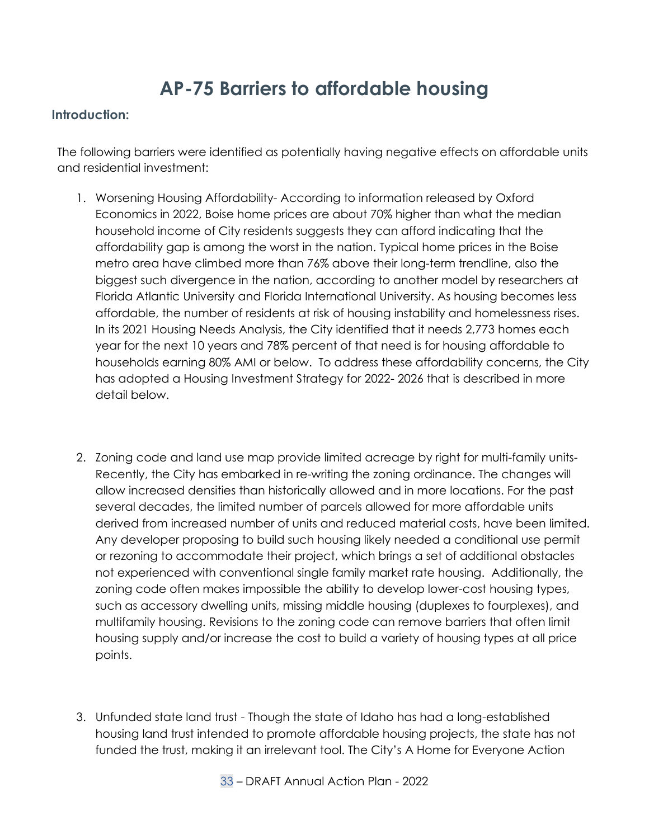# **AP-75 Barriers to affordable housing**

#### **Introduction:**

The following barriers were identified as potentially having negative effects on affordable units and residential investment:

- <span id="page-32-0"></span>1. Worsening Housing Affordability- According to information released by Oxford Economics in 2022, Boise home prices are about 70% higher than what the median household income of City residents suggests they can afford indicating that the affordability gap is among the worst in the nation. Typical home prices in the Boise metro area have climbed more than 76% above their long-term trendline, also the biggest such divergence in the nation, according to another model by researchers at Florida Atlantic University and Florida International University. As housing becomes less affordable, the number of residents at risk of housing instability and homelessness rises. In its 2021 Housing Needs Analysis, the City identified that it needs 2,773 homes each year for the next 10 years and 78% percent of that need is for housing affordable to households earning 80% AMI or below. To address these affordability concerns, the City has adopted a Housing Investment Strategy for 2022- 2026 that is described in more detail below.
- <span id="page-32-1"></span>2. Zoning code and land use map provide limited acreage by right for multi-family units-Recently, the City has embarked in re-writing the zoning ordinance. The changes will allow increased densities than historically allowed and in more locations. For the past several decades, the limited number of parcels allowed for more affordable units derived from increased number of units and reduced material costs, have been limited. Any developer proposing to build such housing likely needed a conditional use permit or rezoning to accommodate their project, which brings a set of additional obstacles not experienced with conventional single family market rate housing. Additionally, the zoning code often makes impossible the ability to develop lower-cost housing types, such as accessory dwelling units, missing middle housing (duplexes to fourplexes), and multifamily housing. Revisions to the zoning code can remove barriers that often limit housing supply and/or increase the cost to build a variety of housing types at all price points.
- 3. Unfunded state land trust Though the state of Idaho has had a long-established housing land trust intended to promote affordable housing projects, the state has not funded the trust, making it an irrelevant tool. The City's A Home for Everyone Action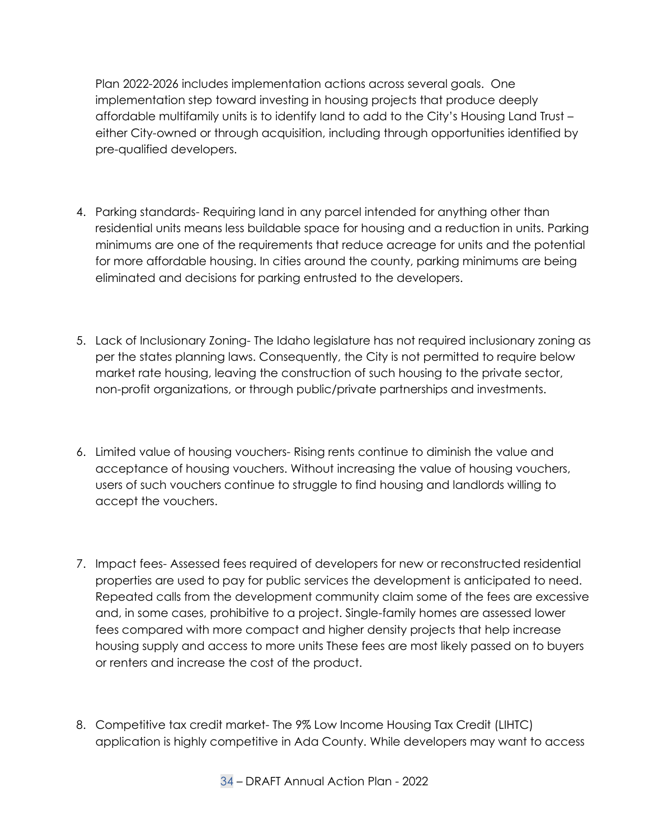Plan 2022-2026 includes implementation actions across several goals. One implementation step toward investing in housing projects that produce deeply affordable multifamily units is to identify land to add to the City's Housing Land Trust – either City-owned or through acquisition, including through opportunities identified by pre-qualified developers.

- 4. Parking standards- Requiring land in any parcel intended for anything other than residential units means less buildable space for housing and a reduction in units. Parking minimums are one of the requirements that reduce acreage for units and the potential for more affordable housing. In cities around the county, parking minimums are being eliminated and decisions for parking entrusted to the developers.
- 5. Lack of Inclusionary Zoning- The Idaho legislature has not required inclusionary zoning as per the states planning laws. Consequently, the City is not permitted to require below market rate housing, leaving the construction of such housing to the private sector, non-profit organizations, or through public/private partnerships and investments.
- 6. Limited value of housing vouchers- Rising rents continue to diminish the value and acceptance of housing vouchers. Without increasing the value of housing vouchers, users of such vouchers continue to struggle to find housing and landlords willing to accept the vouchers.
- 7. Impact fees- Assessed fees required of developers for new or reconstructed residential properties are used to pay for public services the development is anticipated to need. Repeated calls from the development community claim some of the fees are excessive and, in some cases, prohibitive to a project. Single-family homes are assessed lower fees compared with more compact and higher density projects that help increase housing supply and access to more units These fees are most likely passed on to buyers or renters and increase the cost of the product.
- 8. Competitive tax credit market- The 9% Low Income Housing Tax Credit (LIHTC) application is highly competitive in Ada County. While developers may want to access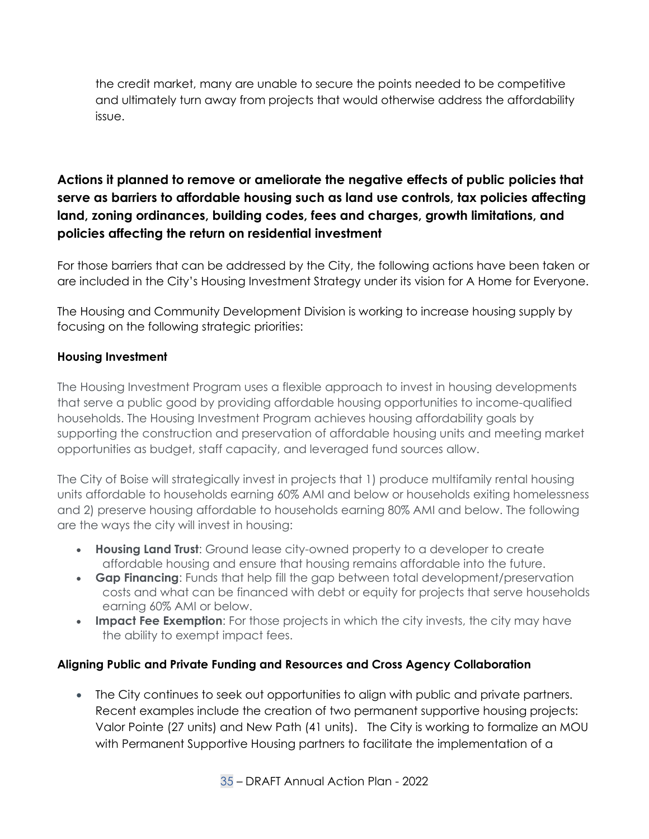the credit market, many are unable to secure the points needed to be competitive and ultimately turn away from projects that would otherwise address the affordability issue.

# **Actions it planned to remove or ameliorate the negative effects of public policies that serve as barriers to affordable housing such as land use controls, tax policies affecting land, zoning ordinances, building codes, fees and charges, growth limitations, and policies affecting the return on residential investment**

For those barriers that can be addressed by the City, the following actions have been taken or are included in the City's Housing Investment Strategy under its vision for A Home for Everyone.

The Housing and Community Development Division is working to increase housing supply by focusing on the following strategic priorities:

#### **Housing Investment**

The Housing Investment Program uses a flexible approach to invest in housing developments that serve a public good by providing affordable housing opportunities to income-qualified households. The Housing Investment Program achieves housing affordability goals by supporting the construction and preservation of affordable housing units and meeting market opportunities as budget, staff capacity, and leveraged fund sources allow.

The City of Boise will strategically invest in projects that 1) produce multifamily rental housing units affordable to households earning 60% AMI and below or households exiting homelessness and 2) preserve housing affordable to households earning 80% AMI and below. The following are the ways the city will invest in housing:

- **Housing Land Trust**: Ground lease city-owned property to a developer to create affordable housing and ensure that housing remains affordable into the future.
- **Gap Financing**: Funds that help fill the gap between total development/preservation costs and what can be financed with debt or equity for projects that serve households earning 60% AMI or below.
- **Impact Fee Exemption**: For those projects in which the city invests, the city may have the ability to exempt impact fees.

#### **Aligning Public and Private Funding and Resources and Cross Agency Collaboration**

• The City continues to seek out opportunities to align with public and private partners. Recent examples include the creation of two permanent supportive housing projects: Valor Pointe (27 units) and New Path (41 units). The City is working to formalize an MOU with Permanent Supportive Housing partners to facilitate the implementation of a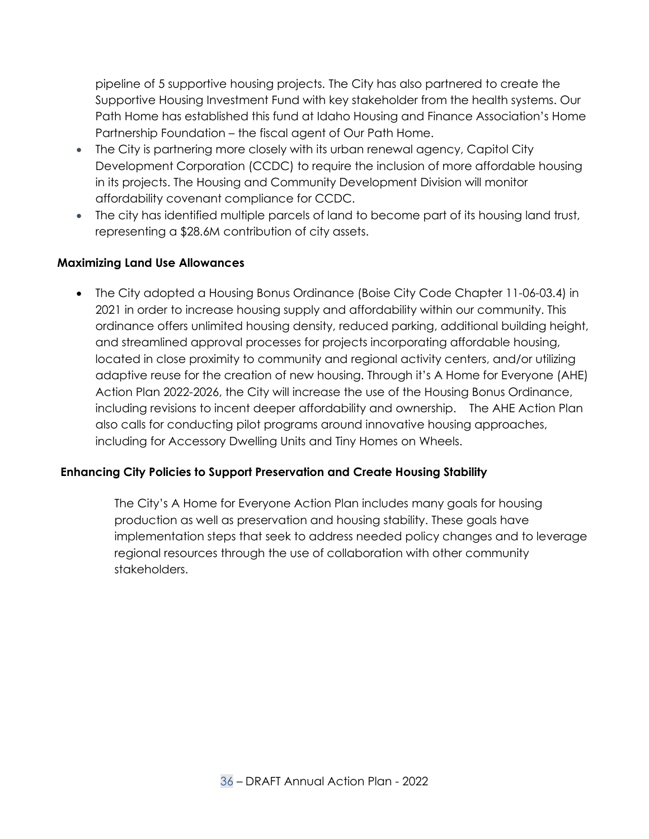pipeline of 5 supportive housing projects. The City has also partnered to create the Supportive Housing Investment Fund with key stakeholder from the health systems. Our Path Home has established this fund at Idaho Housing and Finance Association's Home Partnership Foundation – the fiscal agent of Our Path Home.

- The City is partnering more closely with its urban renewal agency, Capitol City Development Corporation (CCDC) to require the inclusion of more affordable housing in its projects. The Housing and Community Development Division will monitor affordability covenant compliance for CCDC.
- The city has identified multiple parcels of land to become part of its housing land trust, representing a \$28.6M contribution of city assets.

#### **Maximizing Land Use Allowances**

• The City adopted a Housing Bonus Ordinance (Boise City Code Chapter 11-06-03.4) in 2021 in order to increase housing supply and affordability within our community. This ordinance offers unlimited housing density, reduced parking, additional building height, and streamlined approval processes for projects incorporating affordable housing, located in close proximity to community and regional activity centers, and/or utilizing adaptive reuse for the creation of new housing. Through it's A Home for Everyone (AHE) Action Plan 2022-2026, the City will increase the use of the Housing Bonus Ordinance, including revisions to incent deeper affordability and ownership. The AHE Action Plan also calls for conducting pilot programs around innovative housing approaches, including for Accessory Dwelling Units and Tiny Homes on Wheels.

#### **Enhancing City Policies to Support Preservation and Create Housing Stability**

The City's A Home for Everyone Action Plan includes many goals for housing production as well as preservation and housing stability. These goals have implementation steps that seek to address needed policy changes and to leverage regional resources through the use of collaboration with other community stakeholders.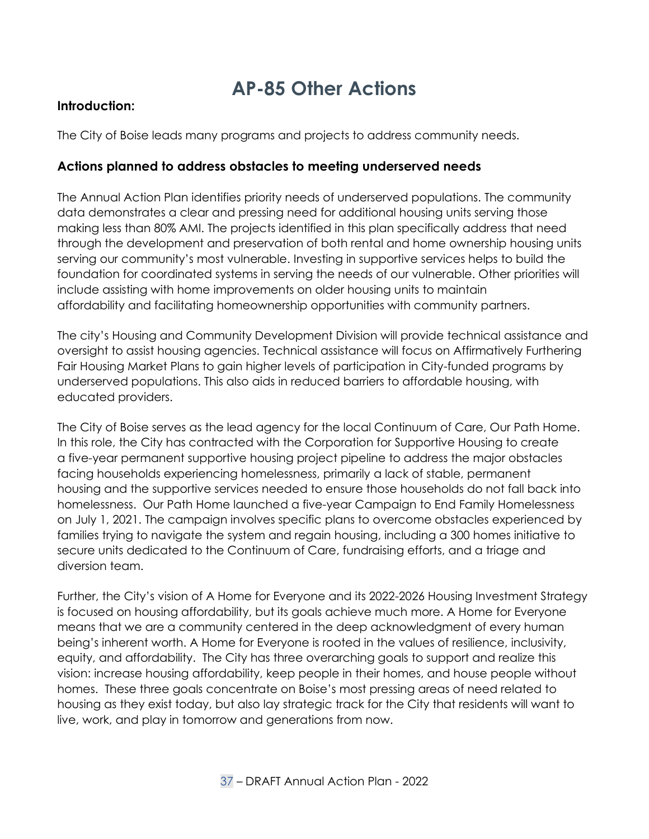# **AP-85 Other Actions**

#### **Introduction:**

The City of Boise leads many programs and projects to address community needs.

#### **Actions planned to address obstacles to meeting underserved needs**

The Annual Action Plan identifies priority needs of underserved populations. The community data demonstrates a clear and pressing need for additional housing units serving those making less than 80% AMI. The projects identified in this plan specifically address that need through the development and preservation of both rental and home ownership housing units serving our community's most vulnerable. Investing in supportive services helps to build the foundation for coordinated systems in serving the needs of our vulnerable. Other priorities will include assisting with home improvements on older housing units to maintain affordability and facilitating homeownership opportunities with community partners.

<span id="page-36-0"></span>The city's Housing and Community Development Division will provide technical assistance and oversight to assist housing agencies. Technical assistance will focus on Affirmatively Furthering Fair Housing Market Plans to gain higher levels of participation in City-funded programs by underserved populations. This also aids in reduced barriers to affordable housing, with educated providers.

The City of Boise serves as the lead agency for the local Continuum of Care, Our Path Home. In this role, the City has contracted with the Corporation for Supportive Housing to create a five-year permanent supportive housing project pipeline to address the major obstacles facing households experiencing homelessness, primarily a lack of stable, permanent housing and the supportive services needed to ensure those households do not fall back into homelessness. Our Path Home launched a five-year Campaign to End Family Homelessness on July 1, 2021. The campaign involves specific plans to overcome obstacles experienced by families trying to navigate the system and regain housing, including a 300 homes initiative to secure units dedicated to the Continuum of Care, fundraising efforts, and a triage and diversion team.

Further, the City's vision of A Home for Everyone and its 2022-2026 Housing Investment Strategy is focused on housing affordability, but its goals achieve much more. A Home for Everyone means that we are a community centered in the deep acknowledgment of every human being's inherent worth. A Home for Everyone is rooted in the values of resilience, inclusivity, equity, and affordability. The City has three overarching goals to support and realize this vision: increase housing affordability, keep people in their homes, and house people without homes. These three goals concentrate on Boise's most pressing areas of need related to housing as they exist today, but also lay strategic track for the City that residents will want to live, work, and play in tomorrow and generations from now.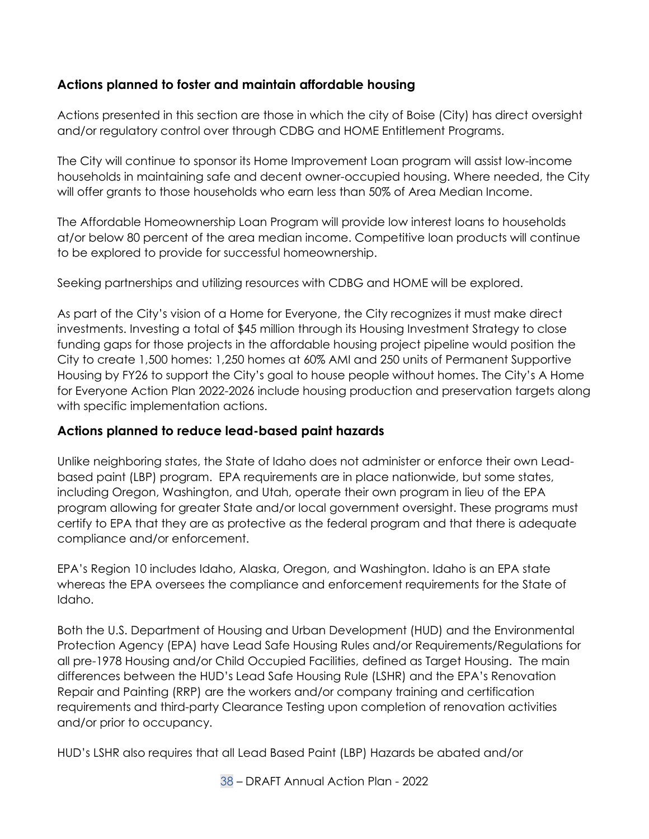## **Actions planned to foster and maintain affordable housing**

Actions presented in this section are those in which the city of Boise (City) has direct oversight and/or regulatory control over through CDBG and HOME Entitlement Programs.

The City will continue to sponsor its Home Improvement Loan program will assist low-income households in maintaining safe and decent owner-occupied housing. Where needed, the City will offer grants to those households who earn less than 50% of Area Median Income.

The Affordable Homeownership Loan Program will provide low interest loans to households at/or below 80 percent of the area median income. Competitive loan products will continue to be explored to provide for successful homeownership.

Seeking partnerships and utilizing resources with CDBG and HOME will be explored.

As part of the City's vision of a Home for Everyone, the City recognizes it must make direct investments. Investing a total of \$45 million through its Housing Investment Strategy to close funding gaps for those projects in the affordable housing project pipeline would position the City to create 1,500 homes: 1,250 homes at 60% AMI and 250 units of Permanent Supportive Housing by FY26 to support the City's goal to house people without homes. The City's A Home for Everyone Action Plan 2022-2026 include housing production and preservation targets along with specific implementation actions.

#### **Actions planned to reduce lead-based paint hazards**

Unlike neighboring states, the State of Idaho does not administer or enforce their own Leadbased paint (LBP) program. EPA requirements are in place nationwide, but some states, including Oregon, Washington, and Utah, operate their own program in lieu of the EPA program allowing for greater State and/or local government oversight. These programs must certify to EPA that they are as protective as the federal program and that there is adequate compliance and/or enforcement.

EPA's Region 10 includes Idaho, Alaska, Oregon, and Washington. Idaho is an EPA state whereas the EPA oversees the compliance and enforcement requirements for the State of Idaho.

Both the U.S. Department of Housing and Urban Development (HUD) and the Environmental Protection Agency (EPA) have Lead Safe Housing Rules and/or Requirements/Regulations for all pre-1978 Housing and/or Child Occupied Facilities, defined as Target Housing. The main differences between the HUD's Lead Safe Housing Rule (LSHR) and the EPA's Renovation Repair and Painting (RRP) are the workers and/or company training and certification requirements and third-party Clearance Testing upon completion of renovation activities and/or prior to occupancy.

HUD's LSHR also requires that all Lead Based Paint (LBP) Hazards be abated and/or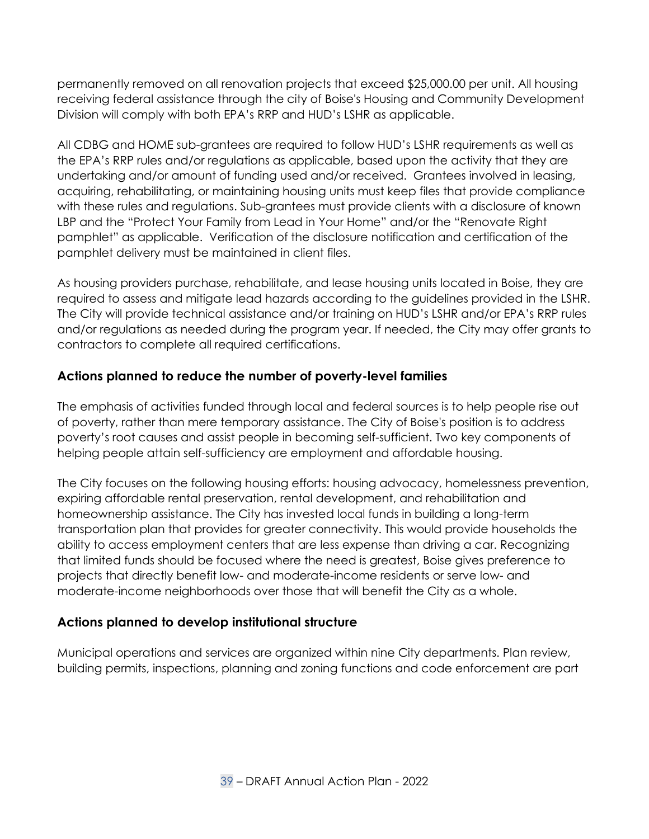permanently removed on all renovation projects that exceed \$25,000.00 per unit. All housing receiving federal assistance through the city of Boise's Housing and Community Development Division will comply with both EPA's RRP and HUD's LSHR as applicable.

All CDBG and HOME sub-grantees are required to follow HUD's LSHR requirements as well as the EPA's RRP rules and/or regulations as applicable, based upon the activity that they are undertaking and/or amount of funding used and/or received. Grantees involved in leasing, acquiring, rehabilitating, or maintaining housing units must keep files that provide compliance with these rules and regulations. Sub-grantees must provide clients with a disclosure of known LBP and the "Protect Your Family from Lead in Your Home" and/or the "Renovate Right pamphlet" as applicable. Verification of the disclosure notification and certification of the pamphlet delivery must be maintained in client files.

As housing providers purchase, rehabilitate, and lease housing units located in Boise, they are required to assess and mitigate lead hazards according to the guidelines provided in the LSHR. The City will provide technical assistance and/or training on HUD's LSHR and/or EPA's RRP rules and/or regulations as needed during the program year. If needed, the City may offer grants to contractors to complete all required certifications.

### **Actions planned to reduce the number of poverty-level families**

The emphasis of activities funded through local and federal sources is to help people rise out of poverty, rather than mere temporary assistance. The City of Boise's position is to address poverty's root causes and assist people in becoming self-sufficient. Two key components of helping people attain self-sufficiency are employment and affordable housing.

The City focuses on the following housing efforts: housing advocacy, homelessness prevention, expiring affordable rental preservation, rental development, and rehabilitation and homeownership assistance. The City has invested local funds in building a long-term transportation plan that provides for greater connectivity. This would provide households the ability to access employment centers that are less expense than driving a car. Recognizing that limited funds should be focused where the need is greatest, Boise gives preference to projects that directly benefit low- and moderate-income residents or serve low- and moderate-income neighborhoods over those that will benefit the City as a whole.

#### **Actions planned to develop institutional structure**

Municipal operations and services are organized within nine City departments. Plan review, building permits, inspections, planning and zoning functions and code enforcement are part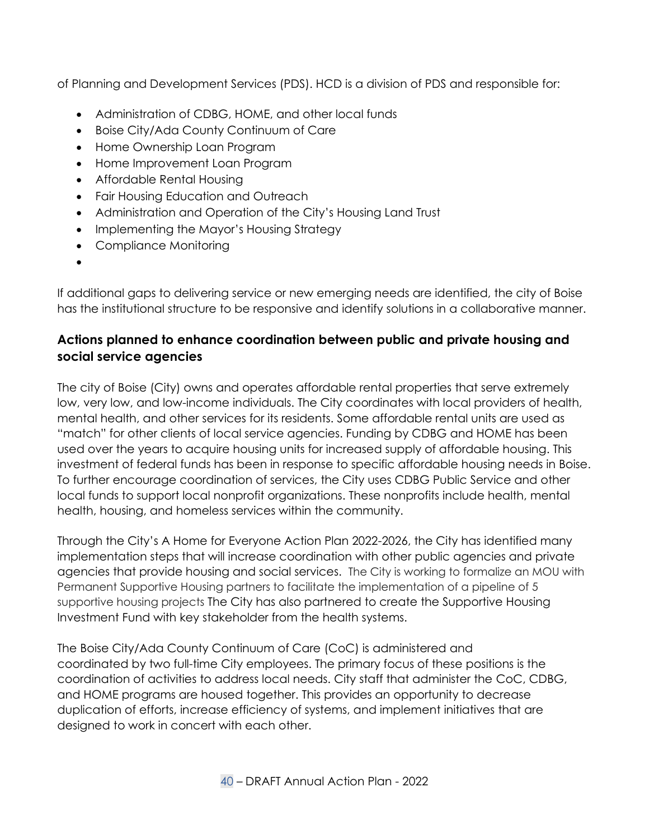of Planning and Development Services (PDS). HCD is a division of PDS and responsible for:

- Administration of CDBG, HOME, and other local funds
- Boise City/Ada County Continuum of Care
- Home Ownership Loan Program
- Home Improvement Loan Program
- Affordable Rental Housing
- Fair Housing Education and Outreach
- Administration and Operation of the City's Housing Land Trust
- Implementing the Mayor's Housing Strategy
- Compliance Monitoring
- •

If additional gaps to delivering service or new emerging needs are identified, the city of Boise has the institutional structure to be responsive and identify solutions in a collaborative manner.

# **Actions planned to enhance coordination between public and private housing and social service agencies**

The city of Boise (City) owns and operates affordable rental properties that serve extremely low, very low, and low-income individuals. The City coordinates with local providers of health, mental health, and other services for its residents. Some affordable rental units are used as "match" for other clients of local service agencies. Funding by CDBG and HOME has been used over the years to acquire housing units for increased supply of affordable housing. This investment of federal funds has been in response to specific affordable housing needs in Boise. To further encourage coordination of services, the City uses CDBG Public Service and other local funds to support local nonprofit organizations. These nonprofits include health, mental health, housing, and homeless services within the community.

Through the City's A Home for Everyone Action Plan 2022-2026, the City has identified many implementation steps that will increase coordination with other public agencies and private agencies that provide housing and social services. The City is working to formalize an MOU with Permanent Supportive Housing partners to facilitate the implementation of a pipeline of 5 supportive housing projects The City has also partnered to create the Supportive Housing Investment Fund with key stakeholder from the health systems.

The Boise City/Ada County Continuum of Care (CoC) is administered and coordinated by two full-time City employees. The primary focus of these positions is the coordination of activities to address local needs. City staff that administer the CoC, CDBG, and HOME programs are housed together. This provides an opportunity to decrease duplication of efforts, increase efficiency of systems, and implement initiatives that are designed to work in concert with each other.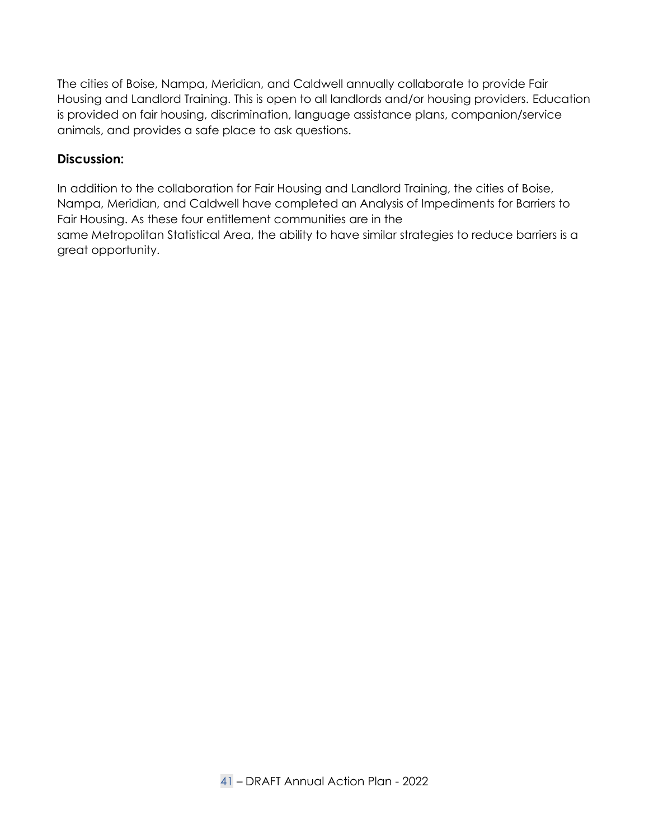The cities of Boise, Nampa, Meridian, and Caldwell annually collaborate to provide Fair Housing and Landlord Training. This is open to all landlords and/or housing providers. Education is provided on fair housing, discrimination, language assistance plans, companion/service animals, and provides a safe place to ask questions.

#### **Discussion:**

In addition to the collaboration for Fair Housing and Landlord Training, the cities of Boise, Nampa, Meridian, and Caldwell have completed an Analysis of Impediments for Barriers to Fair Housing. As these four entitlement communities are in the same Metropolitan Statistical Area, the ability to have similar strategies to reduce barriers is a great opportunity.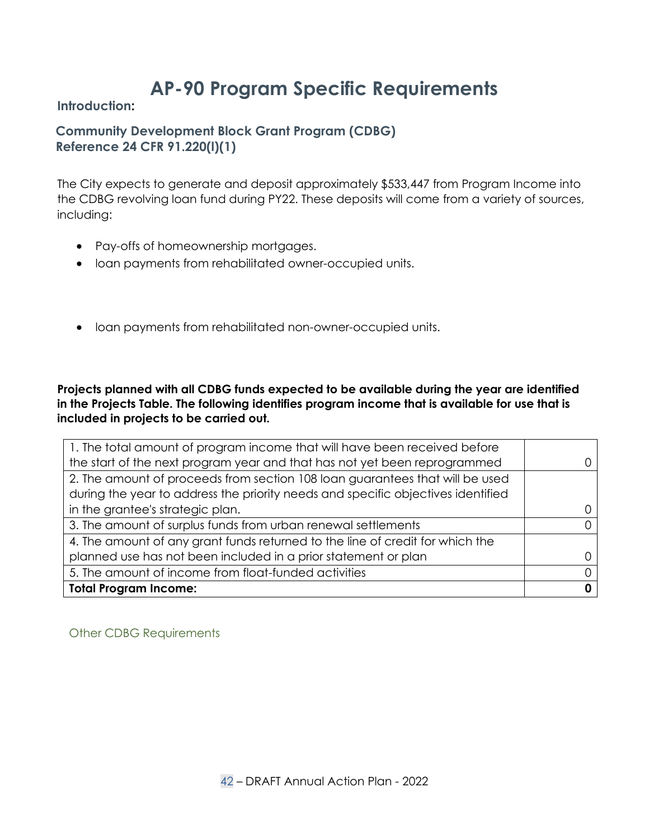# **AP-90 Program Specific Requirements**

**Introduction:** 

### **Community Development Block Grant Program (CDBG) Reference 24 CFR 91.220(l)(1)**

The City expects to generate and deposit approximately \$533,447 from Program Income into the CDBG revolving loan fund during PY22. These deposits will come from a variety of sources, including:

- Pay-offs of homeownership mortgages.
- loan payments from rehabilitated owner-occupied units.
- <span id="page-41-1"></span><span id="page-41-0"></span>• loan payments from rehabilitated non-owner-occupied units.

<span id="page-41-3"></span><span id="page-41-2"></span>**Projects planned with all CDBG funds expected to be available during the year are identified in the Projects Table. The following identifies program income that is available for use that is included in projects to be carried out.**

| 1. The total amount of program income that will have been received before        |  |
|----------------------------------------------------------------------------------|--|
| the start of the next program year and that has not yet been reprogrammed        |  |
| 2. The amount of proceeds from section 108 loan guarantees that will be used     |  |
| during the year to address the priority needs and specific objectives identified |  |
| in the grantee's strategic plan.                                                 |  |
| 3. The amount of surplus funds from urban renewal settlements                    |  |
| 4. The amount of any grant funds returned to the line of credit for which the    |  |
| planned use has not been included in a prior statement or plan                   |  |
| 5. The amount of income from float-funded activities                             |  |
| <b>Total Program Income:</b>                                                     |  |

<span id="page-41-4"></span>Other CDBG Requirements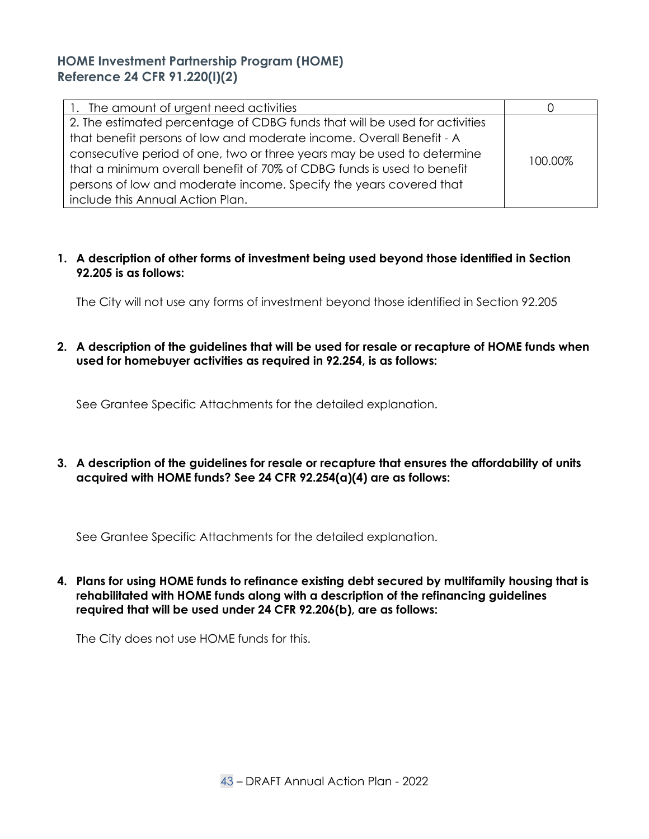### **HOME Investment Partnership Program (HOME) Reference 24 CFR 91.220(l)(2)**

| 1. The amount of urgent need activities                                    |         |
|----------------------------------------------------------------------------|---------|
| 2. The estimated percentage of CDBG funds that will be used for activities |         |
| that benefit persons of low and moderate income. Overall Benefit - A       |         |
| consecutive period of one, two or three years may be used to determine     | 100.00% |
| that a minimum overall benefit of 70% of CDBG funds is used to benefit     |         |
| persons of low and moderate income. Specify the years covered that         |         |
| include this Annual Action Plan.                                           |         |

#### **1. A description of other forms of investment being used beyond those identified in Section 92.205 is as follows:**

<span id="page-42-1"></span><span id="page-42-0"></span>The City will not use any forms of investment beyond those identified in Section 92.205

**2. A description of the guidelines that will be used for resale or recapture of HOME funds when used for homebuyer activities as required in 92.254, is as follows:**

See Grantee Specific Attachments for the detailed explanation.

**3. A description of the guidelines for resale or recapture that ensures the affordability of units acquired with HOME funds? See 24 CFR 92.254(a)(4) are as follows:**

See Grantee Specific Attachments for the detailed explanation.

**4. Plans for using HOME funds to refinance existing debt secured by multifamily housing that is rehabilitated with HOME funds along with a description of the refinancing guidelines required that will be used under 24 CFR 92.206(b), are as follows:**

The City does not use HOME funds for this.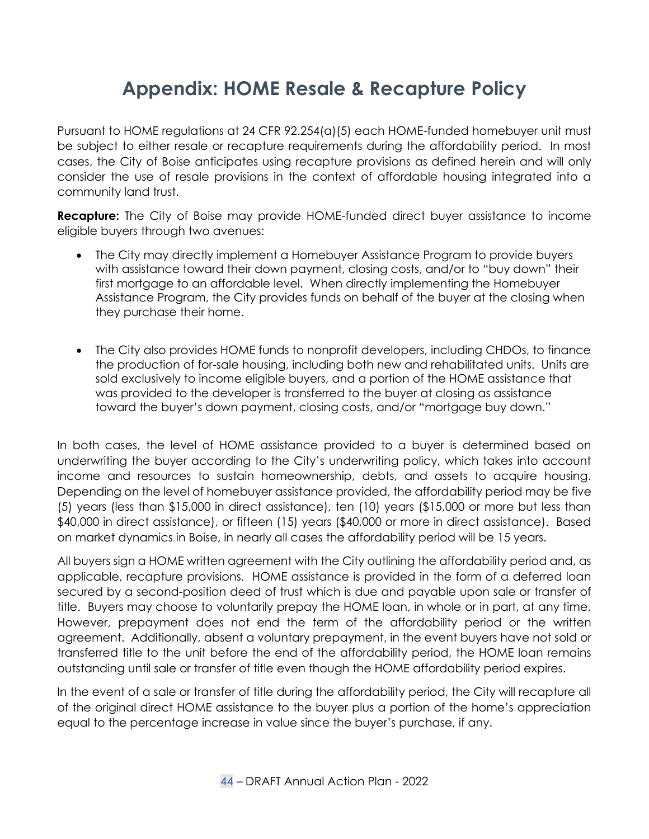# **Appendix: HOME Resale & Recapture Policy**

Pursuant to HOME regulations at 24 CFR 92.254(a)(5) each HOME-funded homebuyer unit must be subject to either resale or recapture requirements during the affordability period. In most cases, the City of Boise anticipates using recapture provisions as defined herein and will only consider the use of resale provisions in the context of affordable housing integrated into a community land trust.

**Recapture:** The City of Boise may provide HOME-funded direct buyer assistance to income eligible buyers through two avenues:

- The City may directly implement a Homebuyer Assistance Program to provide buyers with assistance toward their down payment, closing costs, and/or to "buy down" their first mortgage to an affordable level. When directly implementing the Homebuyer Assistance Program, the City provides funds on behalf of the buyer at the closing when they purchase their home.
- <span id="page-43-0"></span>• The City also provides HOME funds to nonprofit developers, including CHDOs, to finance the production of for-sale housing, including both new and rehabilitated units. Units are sold exclusively to income eligible buyers, and a portion of the HOME assistance that was provided to the developer is transferred to the buyer at closing as assistance toward the buyer's down payment, closing costs, and/or "mortgage buy down."

In both cases, the level of HOME assistance provided to a buyer is determined based on underwriting the buyer according to the City's underwriting policy, which takes into account income and resources to sustain homeownership, debts, and assets to acquire housing. Depending on the level of homebuyer assistance provided, the affordability period may be five (5) years (less than \$15,000 in direct assistance), ten (10) years (\$15,000 or more but less than \$40,000 in direct assistance), or fifteen (15) years (\$40,000 or more in direct assistance). Based on market dynamics in Boise, in nearly all cases the affordability period will be 15 years.

All buyers sign a HOME written agreement with the City outlining the affordability period and, as applicable, recapture provisions. HOME assistance is provided in the form of a deferred loan secured by a second-position deed of trust which is due and payable upon sale or transfer of title. Buyers may choose to voluntarily prepay the HOME loan, in whole or in part, at any time. However, prepayment does not end the term of the affordability period or the written agreement. Additionally, absent a voluntary prepayment, in the event buyers have not sold or transferred title to the unit before the end of the affordability period, the HOME loan remains outstanding until sale or transfer of title even though the HOME affordability period expires.

In the event of a sale or transfer of title during the affordability period, the City will recapture all of the original direct HOME assistance to the buyer plus a portion of the home's appreciation equal to the percentage increase in value since the buyer's purchase, if any.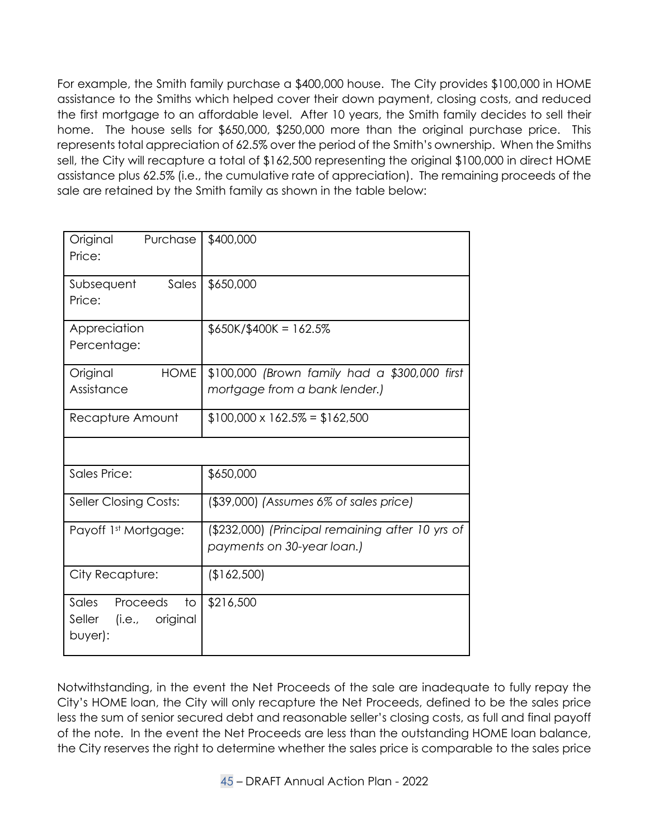For example, the Smith family purchase a \$400,000 house. The City provides \$100,000 in HOME assistance to the Smiths which helped cover their down payment, closing costs, and reduced the first mortgage to an affordable level. After 10 years, the Smith family decides to sell their home. The house sells for \$650,000, \$250,000 more than the original purchase price. This represents total appreciation of 62.5% over the period of the Smith's ownership. When the Smiths sell, the City will recapture a total of \$162,500 representing the original \$100,000 in direct HOME assistance plus 62.5% (i.e., the cumulative rate of appreciation). The remaining proceeds of the sale are retained by the Smith family as shown in the table below:

| Original<br>Purchase<br>Price:                               | \$400,000                                                                      |
|--------------------------------------------------------------|--------------------------------------------------------------------------------|
| Sales<br>Subsequent<br>Price:                                | \$650,000                                                                      |
| Appreciation<br>Percentage:                                  | $$650K$ /\$400K = 162.5%                                                       |
| <b>HOME</b><br>Original<br>Assistance                        | \$100,000 (Brown family had a \$300,000 first<br>mortgage from a bank lender.) |
| Recapture Amount                                             | $$100,000 \times 162.5\% = $162,500$                                           |
| <b>Sales Price:</b>                                          | \$650,000                                                                      |
| <b>Seller Closing Costs:</b>                                 | $($ \$39,000) (Assumes 6% of sales price)                                      |
| Payoff 1st Mortgage:                                         | (\$232,000) (Principal remaining after 10 yrs of<br>payments on 30-year loan.) |
| City Recapture:                                              | (\$162,500)                                                                    |
| Sales Proceeds<br>to<br>Seller<br>(i.e., original<br>buyer): | \$216,500                                                                      |

Notwithstanding, in the event the Net Proceeds of the sale are inadequate to fully repay the City's HOME loan, the City will only recapture the Net Proceeds, defined to be the sales price less the sum of senior secured debt and reasonable seller's closing costs, as full and final payoff of the note. In the event the Net Proceeds are less than the outstanding HOME loan balance, the City reserves the right to determine whether the sales price is comparable to the sales price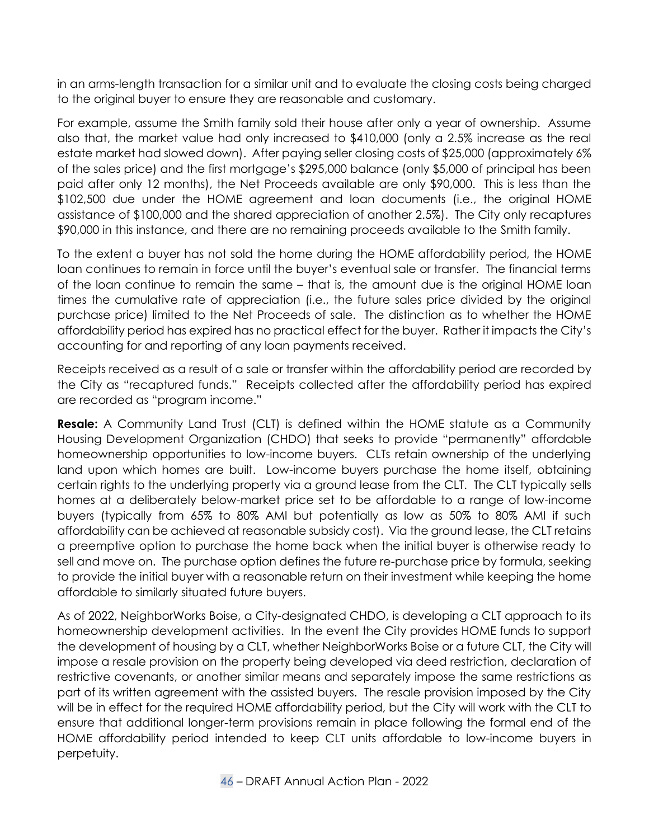in an arms-length transaction for a similar unit and to evaluate the closing costs being charged to the original buyer to ensure they are reasonable and customary.

For example, assume the Smith family sold their house after only a year of ownership. Assume also that, the market value had only increased to \$410,000 (only a 2.5% increase as the real estate market had slowed down). After paying seller closing costs of \$25,000 (approximately 6% of the sales price) and the first mortgage's \$295,000 balance (only \$5,000 of principal has been paid after only 12 months), the Net Proceeds available are only \$90,000. This is less than the \$102,500 due under the HOME agreement and loan documents (i.e., the original HOME assistance of \$100,000 and the shared appreciation of another 2.5%). The City only recaptures \$90,000 in this instance, and there are no remaining proceeds available to the Smith family.

To the extent a buyer has not sold the home during the HOME affordability period, the HOME loan continues to remain in force until the buyer's eventual sale or transfer. The financial terms of the loan continue to remain the same – that is, the amount due is the original HOME loan times the cumulative rate of appreciation (i.e., the future sales price divided by the original purchase price) limited to the Net Proceeds of sale. The distinction as to whether the HOME affordability period has expired has no practical effect for the buyer. Rather it impacts the City's accounting for and reporting of any loan payments received.

Receipts received as a result of a sale or transfer within the affordability period are recorded by the City as "recaptured funds." Receipts collected after the affordability period has expired are recorded as "program income."

**Resale:** A Community Land Trust (CLT) is defined within the HOME statute as a Community Housing Development Organization (CHDO) that seeks to provide "permanently" affordable homeownership opportunities to low-income buyers. CLTs retain ownership of the underlying land upon which homes are built. Low-income buyers purchase the home itself, obtaining certain rights to the underlying property via a ground lease from the CLT. The CLT typically sells homes at a deliberately below-market price set to be affordable to a range of low-income buyers (typically from 65% to 80% AMI but potentially as low as 50% to 80% AMI if such affordability can be achieved at reasonable subsidy cost). Via the ground lease, the CLT retains a preemptive option to purchase the home back when the initial buyer is otherwise ready to sell and move on. The purchase option defines the future re-purchase price by formula, seeking to provide the initial buyer with a reasonable return on their investment while keeping the home affordable to similarly situated future buyers.

As of 2022, NeighborWorks Boise, a City-designated CHDO, is developing a CLT approach to its homeownership development activities. In the event the City provides HOME funds to support the development of housing by a CLT, whether NeighborWorks Boise or a future CLT, the City will impose a resale provision on the property being developed via deed restriction, declaration of restrictive covenants, or another similar means and separately impose the same restrictions as part of its written agreement with the assisted buyers. The resale provision imposed by the City will be in effect for the required HOME affordability period, but the City will work with the CLT to ensure that additional longer-term provisions remain in place following the formal end of the HOME affordability period intended to keep CLT units affordable to low-income buyers in perpetuity.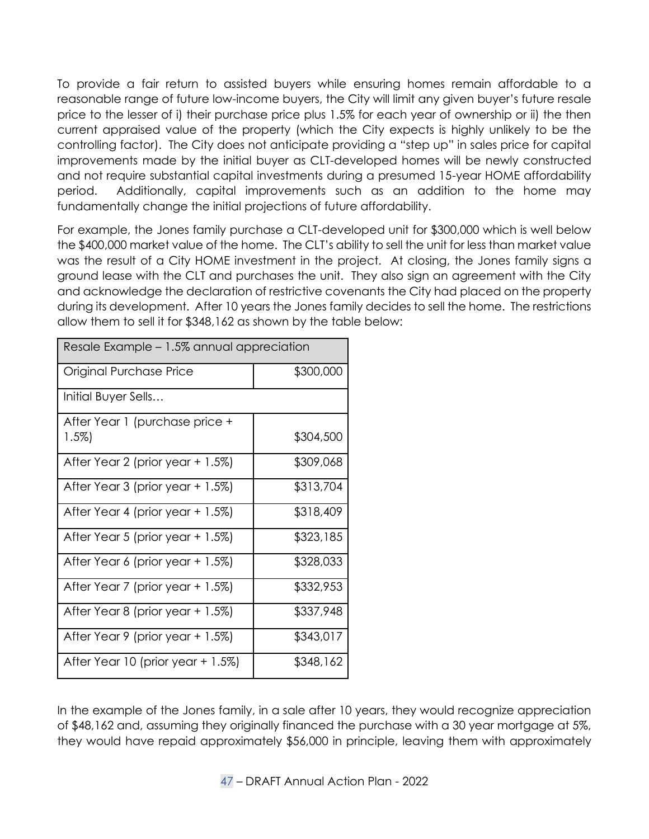To provide a fair return to assisted buyers while ensuring homes remain affordable to a reasonable range of future low-income buyers, the City will limit any given buyer's future resale price to the lesser of i) their purchase price plus 1.5% for each year of ownership or ii) the then current appraised value of the property (which the City expects is highly unlikely to be the controlling factor). The City does not anticipate providing a "step up" in sales price for capital improvements made by the initial buyer as CLT-developed homes will be newly constructed and not require substantial capital investments during a presumed 15-year HOME affordability period. Additionally, capital improvements such as an addition to the home may fundamentally change the initial projections of future affordability.

For example, the Jones family purchase a CLT-developed unit for \$300,000 which is well below the \$400,000 market value of the home. The CLT's ability to sell the unit for less than market value was the result of a City HOME investment in the project. At closing, the Jones family signs a ground lease with the CLT and purchases the unit. They also sign an agreement with the City and acknowledge the declaration of restrictive covenants the City had placed on the property during its development. After 10 years the Jones family decides to sell the home. The restrictions allow them to sell it for \$348,162 as shown by the table below:

| Resale Example - 1.5% annual appreciation |           |  |
|-------------------------------------------|-----------|--|
| Original Purchase Price                   | \$300,000 |  |
| Initial Buyer Sells                       |           |  |
| After Year 1 (purchase price +<br>$1.5\%$ | \$304,500 |  |
| After Year 2 (prior year + 1.5%)          | \$309,068 |  |
| After Year 3 (prior year + 1.5%)          | \$313,704 |  |
| After Year 4 (prior year + 1.5%)          | \$318,409 |  |
| After Year 5 (prior year + 1.5%)          | \$323,185 |  |
| After Year 6 (prior year + 1.5%)          | \$328,033 |  |
| After Year 7 (prior year + 1.5%)          | \$332,953 |  |
| After Year 8 (prior year + 1.5%)          | \$337,948 |  |
| After Year 9 (prior year + 1.5%)          | \$343,017 |  |
| After Year 10 (prior year + 1.5%)         | \$348,162 |  |

In the example of the Jones family, in a sale after 10 years, they would recognize appreciation of \$48,162 and, assuming they originally financed the purchase with a 30 year mortgage at 5%, they would have repaid approximately \$56,000 in principle, leaving them with approximately